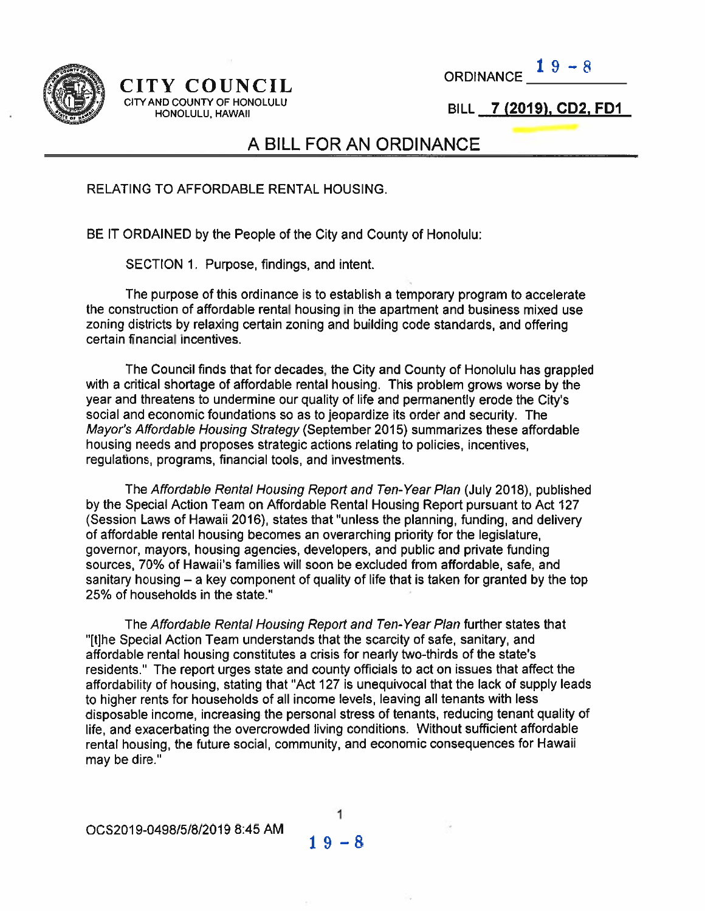

# CITY COUNCIL CITY AND COUNTY OF HONOLULU  $\begin{array}{lll} \text{Y} & \text{COUNT} & \text{ORDINANCE} & \text{1 } 9 - 8 \\ \text{ND COUNTY OF HONOLULU} & & & \text{BILL} & \text{7 } (2019), \text{CD2, FD1} \\ \text{HONOLULU, HAWAII} & & & \text{BILL} & \text{7 } (2019), \text{CD2, FD1} \end{array}$

19—S ORDINANCE\_\_\_\_\_\_\_

BILL 7 (2019), CD2, FD1

## A BILL FOR AN ORDINANCE

RELATING TO AFFORDABLE RENTAL HOUSING.

BE IT ORDAINED by the People of the City and County of Honolulu:

SECTION 1. Purpose, findings, and intent.

The purpose of this ordinance is to establish <sup>a</sup> temporary program to accelerate the construction of affordable rental housing in the apartment and business mixed use zoning districts by relaxing certain zoning and building code standards, and offering certain financial incentives.

The Council finds that for decades, the City and County of Honolulu has grappled with <sup>a</sup> critical shortage of affordable rental housing, This problem grows worse by the year and threatens to undermine our quality of life and permanently erode the City's social and economic foundations so as to jeopardize its order and security. The Mayor's Affordable Housing Strategy (September 2015) summarizes these affordable housing needs and proposes strategic actions relating to policies, incentives, regulations, programs, financial tools, and investments.

The Affordable Rental Housing Report and Ten-Year Plan (July 2018), published by the Special Action Team on Affordable Rental Housing Report pursuan<sup>t</sup> to Act 127 (Session Laws of Hawaii 2016), states that 'unless the planning, funding, and delivery of affordable rental housing becomes an overarching priority for the legislature, governor, mayors, housing agencies, developers, and public and private funding sources, 70% of Hawaii's families will soon be excluded from affordable, safe, and sanitary housing — <sup>a</sup> key componen<sup>t</sup> of quality of life that is taken for granted by the top 25% of households in the state."

The Affordable Rental Housing Report and Ten-Year Plan further states that "[t]he Special Action Team understands that the scarcity of safe, sanitary, and affordable rental housing constitutes <sup>a</sup> crisis for nearly two-thirds of the state's residents." The repor<sup>t</sup> urges state and county officials to act on issues that affect the affordability of housing, stating that "Act 127 is unequivocal that the lack of supply leads to higher rents for households of all income levels, leaving all tenants with less disposable income, increasing the persona<sup>l</sup> stress of tenants, reducing tenant quality of life, and exacerbating the overcrowded living conditions. Without sufficient affordable rental housing, the future social, community, and economic consequences for Hawaii may be dire."

0CS2019-0498151812019 8:45 AM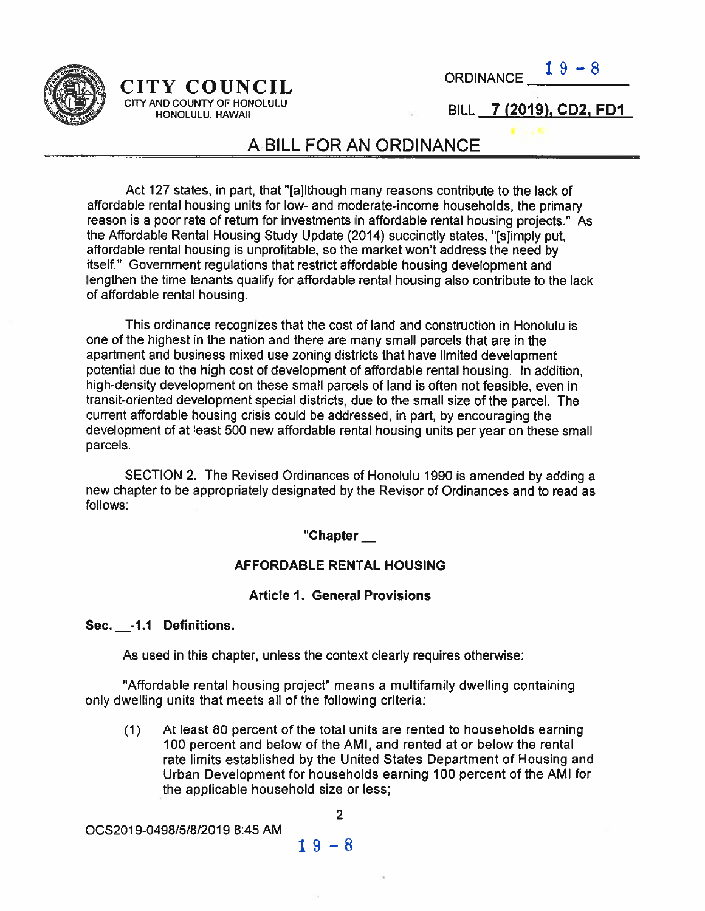

## CITY COUNCIL ORDINANCE. CITY AND COUNTY OF HONOLULU

 $19 - 8$ 

## HONOLULU, HAWAII **ILL 2** BILL 2 (2019), CD2, FD1

## ABILL FOR AN ORDINANCE

Act 127 states, in part, that '[a]lthough many reasons contribute to the lack of affordable rental housing units for low- and moderate-income households, the primary reason is <sup>a</sup> poor rate of return for investments in affordable rental housing projects.' As the Affordable Rental Housing Study Update (2014) succinctly states, "[s]imply put, affordable rental housing is unprofitable, so the market won't address the need by itself." Government regulations that restrict affordable housing development and lengthen the time tenants qualify for affordable rental housing also contribute to the lack of affordable rental housing.

This ordinance recognizes that the cost of land and construction in Honolulu is one of the highest in the nation and there are many small parcels that are in the apartment and business mixed use zoning districts that have limited development potential due to the high cost of development of affordable rental housing. In addition, high-density development on these small parcels of land is often not feasible, even in transit-oriented development special districts, due to the small size of the parcel. The current affordable housing crisis could be addressed, in part, by encouraging the development of at least 500 new affordable rental housing units per year on these small parcels.

SECTION 2. The Revised Ordinances of Honolulu 1990 is amended by adding <sup>a</sup> new chapter to be appropriately designated by the Revisor of Ordinances and to read as follows:

#### "Chapter

#### AFFORDABLE RENTAL HOUSING

#### Article 1. General Provisions

#### Sec. \_-1.1 Definitions.

As Used in this chapter, unless the context clearly requires otherwise:

"Affordable rental housing project" means <sup>a</sup> multifamily dwelling containing only dwelling units that meets all of the following criteria:

(1) At least 80 percen<sup>t</sup> of the total units are rented to households earning 100 percen<sup>t</sup> and below of the AMI, and rented at or below the rental rate limits established by the United States Department of Housing and Urban Development for households earning 100 percen<sup>t</sup> of the AMI for the applicable household size or less;

0CS2019-0498/51812019 8:45 AM

$$
1\,9-8
$$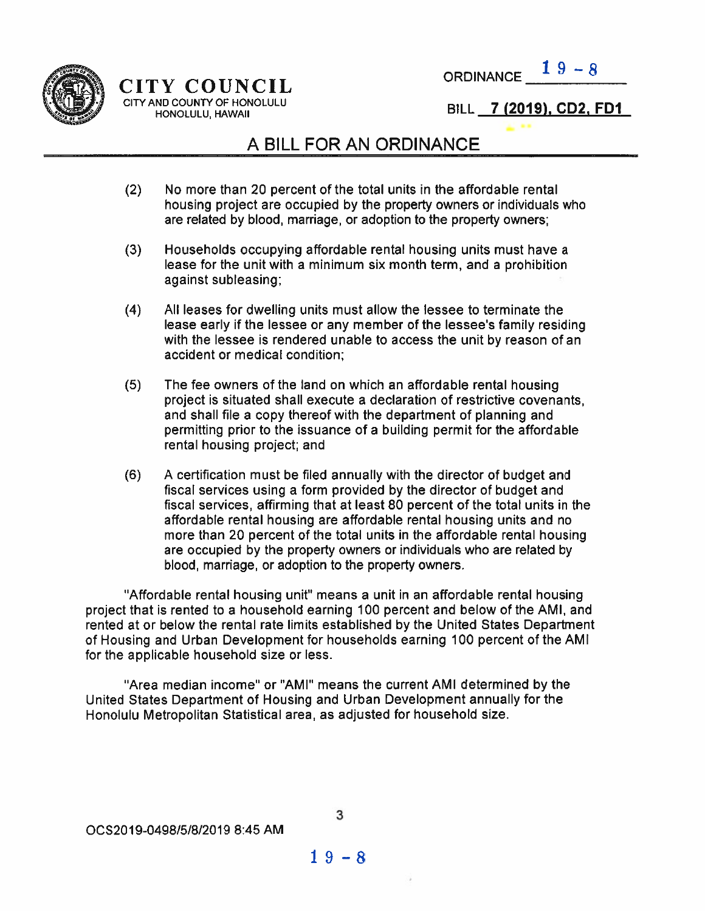



NU COUNTY OF HONOLULU<br>HONOLULU, HAWAII SI INTERNATIONALE SI ILL 2 (2019), CD2, FD1

## A BILL FOR AN ORDINANCE

- (2) No more than 20 percen<sup>t</sup> of the total units in the affordable rental housing project are occupied by the property owners or individuals who are related by blood, marriage, or adoption to the property owners;
- (3) Households occupying affordable rental housing units must have <sup>a</sup> lease for the unit With <sup>a</sup> minimum six month term, and <sup>a</sup> prohibition against subleasing;
- (4) All leases for dwelling units must allow the lessee to terminate the lease early if the lessee or any member of the lessee's family residing with the lessee is rendered unable to access the unit by reason of an accident or medical condition;
- (5) The fee owners of the land on which an affordable rental housing project is situated shall execute <sup>a</sup> declaration of restrictive covenants, and shall file <sup>a</sup> copy thereof with the department of planning and permitting prior to the issuance of <sup>a</sup> building permit for the affordable rental housing project; and
- (6) A certification must be filed annually with the director of budget and fiscal services using <sup>a</sup> form provided by the director of budget and fiscal services, affirming that at least 80 percen<sup>t</sup> of the total units in the affordable rental housing are affordable rental housing units and no more than 20 percen<sup>t</sup> of the total units in the affordable rental housing are occupied by the property owners or individuals Who are related by blood, marriage, or adoption to the property owners.

"Affordable rental housing unit" means <sup>a</sup> unit in an affordable rental housing project that is rented to <sup>a</sup> household earning 100 percen<sup>t</sup> and below of the AMI, and rented at or below the rental rate limits established by the United States Department of Housing and Urban Development for households earning 100 percen<sup>t</sup> of the AMI for the applicable household size or less.

"Area median income" or "AMI" means the current AMI determined by the United States Department of Housing and Urban Development annually for the Honolulu Metropolitan Statistical area, as adjusted for household size.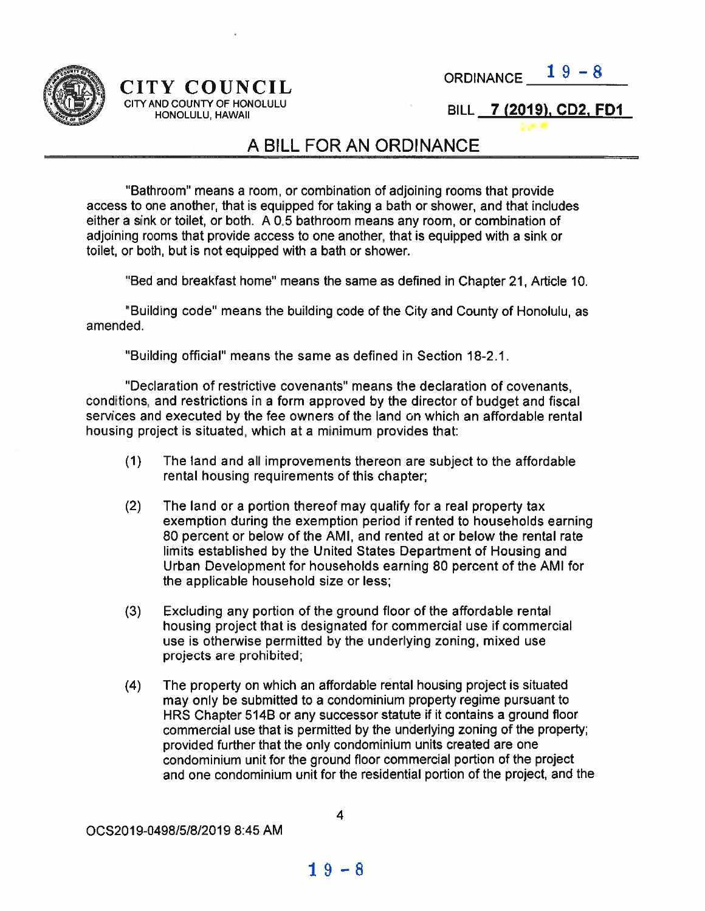



## CITYAND COUNTY OF HONOLULU

HONOLULU, HAWAII

BILL 7 (2019), CD2, FD1

## A BILL FOR AN ORDINANCE

"Bathroom" means <sup>a</sup> room, or combination of adjoining rooms that provide access to one another, that is equipped for taking <sup>a</sup> bath or shower, and that includes either <sup>a</sup> sink or toilet, or both. A 0.5 bathroom means any room, or combination of adjoining rooms that provide access to one another, that is equipped With <sup>a</sup> sink or toilet, or both, but is not equipped with <sup>a</sup> bath or shower.

"Bed and breakfast home" means the same as defined in Chapter 21, Article 10.

"Building code" means the building code of the City and County of Honolulu, as amended.

"Building official" means the same as defined in Section 18-2.1.

"Declaration of restrictive covenants" means the declaration of covenants, conditions, and restrictions in <sup>a</sup> form approved by the director of budget and fiscal services and executed by the fee owners of the land on which an affordable rental housing project is situated, which at <sup>a</sup> minimum provides that:

- (1) The land and all improvements thereon are subject to the affordable rental housing requirements of this chapter;
- (2) The land or <sup>a</sup> portion thereof may qualify for <sup>a</sup> real property tax exemption during the exemption period if rented to households earning 80 percen<sup>t</sup> or below of the AMI, and rented at or below the rental rate limits established by the United States Department of Housing and Urban Development for households earning 80 percen<sup>t</sup> of the AMI for the applicable household size or less;
- (3) Excluding any portion of the ground floor of the affordable rental housing project that is designated for commercial use if commercial use is otherwise permitted by the underlying zoning, mixed use projects are prohibited;
- (4) The property on which an affordable rental housing project is situated may only be submitted to <sup>a</sup> condominium property regime pursuan<sup>t</sup> to HRS Chapter 514B or any successor statute if it contains <sup>a</sup> ground floor commercial use that is permitted by the underlying zoning of the property; provided further that the only condominium units created are one condominium unit for the ground floor commercial portion of the project and one condominium unit for the residential portion of the project, and the

00S2019-0498/518/2019 8:45 AM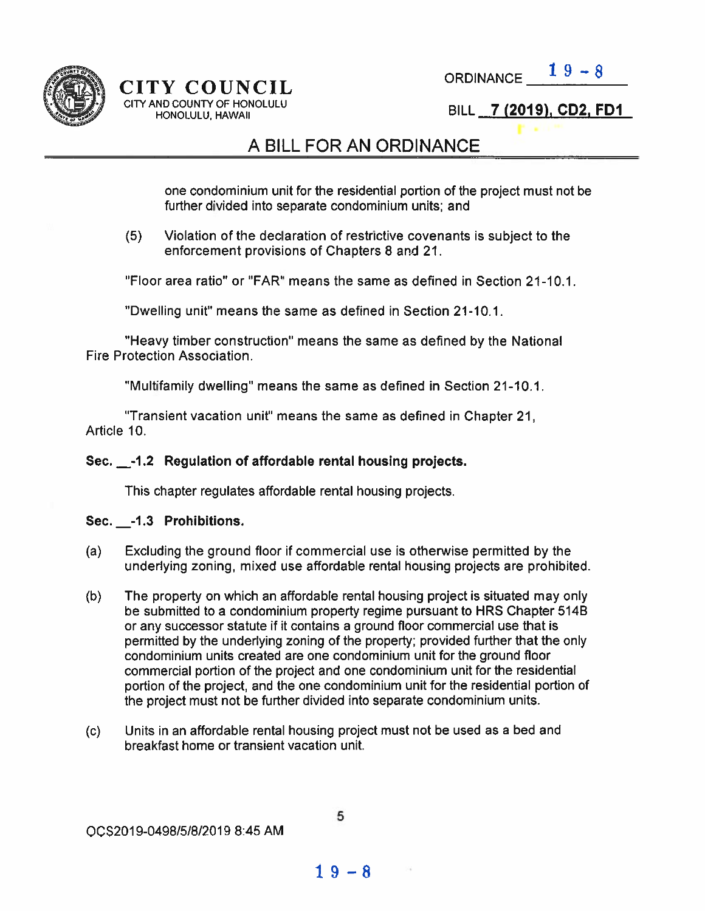

# CITY COUNCIL CITY AND COUNTY OF HONOLULU<br>
HONOLULU, HAWAII **hil is a complete to the COLOGY COOL FD1**  $\begin{array}{ll}\n \text{Y} & \text{COUNTV} \\
 \text{Y} & \text{COUNTV OF HONOLULU} \\
 \text{ND COUNTY OF HONOLULU} & \text{BILL} & \text{7 (2019), CD2, FD1}\n \end{array}$

## A BILL FOR AN ORDINANCE

one condominium unit for the residential portion of the project must not be further divided into separate condominium units; and

(5) Violation of the declaration of restrictive covenants is subject to the enforcement provisions of Chapters 8 and 21.

"Floor area ratio' or "FAR" means the same as defined in Section 21-10.1.

"Dwelling unit" means the same as defined in Section 21-10.1.

"Heavy timber Construction" means the same as defined by the National Fire Protection Association.

"Multifamily dwelling" means the same as defined in Section 21-10.1.

"Transient vacation unit" means the same as defined in Chapter 21, Article 10.

#### Sec. \_\_-1.2 Regulation of affordable rental housing projects.

This chapter regulates affordable rental housing projects.

#### Sec. \_-1.3 Prohibitions.

- (a) Excluding the ground floor if commercial use is otherwise permitted by the underlying zoning, mixed use affordable rental housing projects are prohibited.
- (b) The property on which an affordable rental housing project is situated may only be submitted to <sup>a</sup> condominium property regime pursuan<sup>t</sup> to HRS Chapter 514B or any successor statute if it contains <sup>a</sup> ground floor commercial use that is permitted by the underlying zoning of the property; provided further that the only condominium units created are one condominium unit for the ground floor commercial portion of the project and one condominium unit for the residential portion of the project, and the one condominium unit for the residential portion of the project must not be further divided into separate condominium units.
- (c) Units in an affordable rental housing project must not be used as <sup>a</sup> bed and breakfast home or transient vacation unit.

 $19 - 8$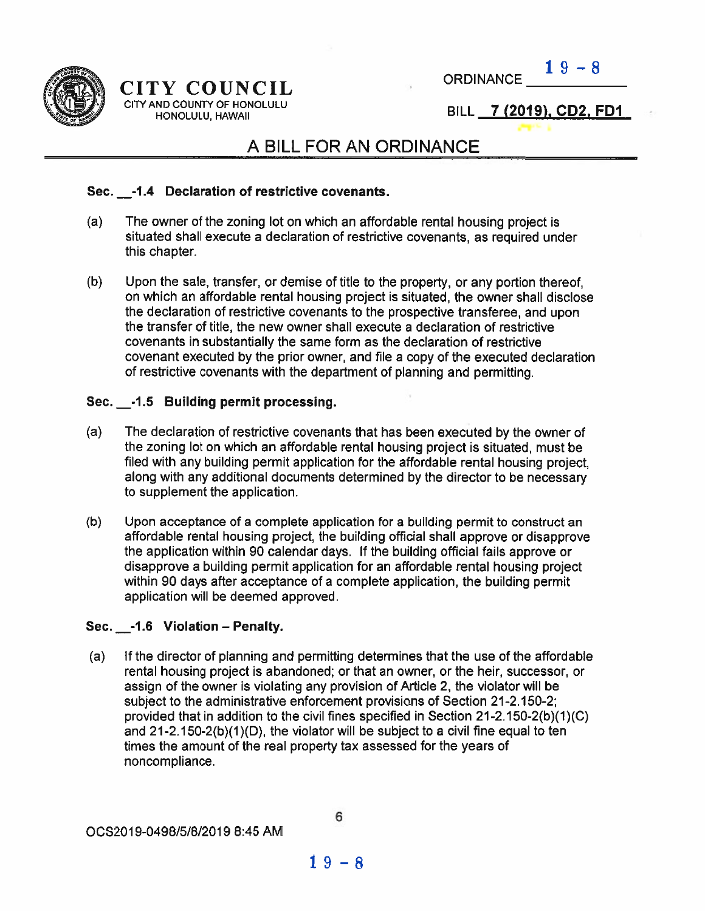



## CITY COUNCIL ORDINANCE CITY AND COUNTY OF HONOLULU

HONOLULU, HAWAII

DRDINANCE  $\frac{19 - 8}{100}$ 

## A BILL FOR AN ORDINANCE

#### Sec. -1.4 Declaration of restrictive covenants.

- (a) The owner of the zoning lot on which an affordable rental housing project is situated shall execute <sup>a</sup> declaration of restrictive covenants, as required under this chapter.
- (b) Upon the sale, transfer, or demise of title to the property, or any portion thereof, on which an affordable rental housing project is situated, the owner shall disclose the declaration of restrictive covenants to the prospective transferee, and upon the transfer of title, the new owner shall execute <sup>a</sup> declaration of restrictive covenants in substantially the same form as the declaration of restrictive covenant executed by the prior owner, and file <sup>a</sup> copy of the executed declaration of restrictive covenants with the department of planning and permitting.

#### Sec. \_-1.5 Building permit processing.

- (a) The declaration of restrictive covenants that has been executed by the owner of the zoning lot on which an affordable rental housing project is situated, must be filed with any building permit application for the affordable rental housing project, along with any additional documents determined by the director to be necessary to supplement the application.
- (b) Upon acceptance of <sup>a</sup> complete application for <sup>a</sup> building permit to construct an affordable rental housing project, the building official shall approve or disapprove the application within 90 calendar days. If the building official fails approve or disapprove <sup>a</sup> building permit application for an affordable rental housing project within 90 days after acceptance of <sup>a</sup> complete application, the building permit application will be deemed approved.

#### Sec. \_-1.6 Violation — Penalty.

(a) If the director of planning and permitting determines that the use of the affordable rental housing project is abandoned; or that an owner, or the heir, successor, or assign of the owner is violating any provision of Article 2, the violator will be subject to the administrative enforcement provisions of Section 21-2.150-2; provided that in addition to the civil fines specified in Section 21-2.150-2(b)(1)(C) and 21-2.150-2(b)(1)(D), the violator will be subject to <sup>a</sup> civil fine equal to ten times the amount of the real property tax assessed for the years of noncompliance.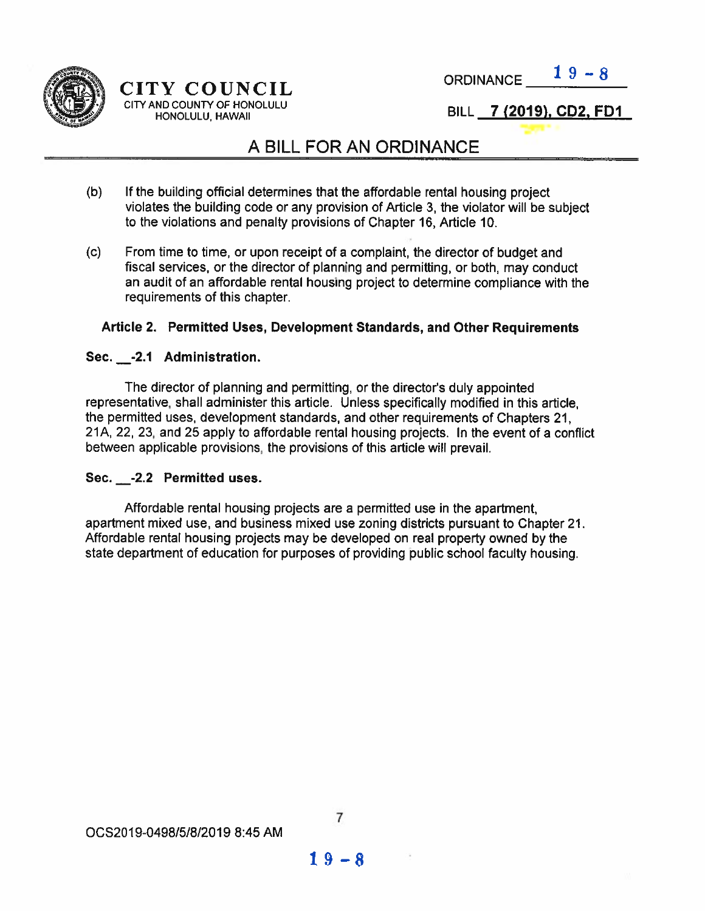

ORDINANCE  $19-8$ 

BILL <sup>7</sup> (2019), CD2, FDI

## A BILL FOR AN ORDINANCE

- (b) If the building official determines that the affordable rental housing project violates the building code or any provision of Article 3, the violator will be subject to the violations and penalty provisions of Chapter 16, Article 10.
- (c) From time to time, or upon receipt of <sup>a</sup> complaint, the director of budget and fiscal services, or the director of planning and permitting, or both, may conduct an audit of an affordable rental housing project to determine compliance with the requirements of this chapter.

#### Article 2. Permitted Uses, Development Standards, and Other Requirements

#### Sec. \_-2.1 Administration.

The director of planning and permitting, or the director's duly appointed representative, shall administer this article. Unless specifically modified in this article, the permitted uses, development standards, and other requirements of Chapters 21, 21A, 22, 23, and 25 apply to affordable rental housing projects. In the event of <sup>a</sup> conflict between applicable provisions, the provisions of this article will prevail.

#### Sec. \_-2.2 Permitted uses.

Affordable rental housing projects are <sup>a</sup> permitted use in the apartment, apartment mixed use, and business mixed use zoning districts pursuan<sup>t</sup> to Chapter 21. Affordable rental housing projects may be developed on real property owned by the state department of education for purposes of providing public school faculty housing.

#### 0CS2019-0498151812019 8:45 AM

 $19 - 8$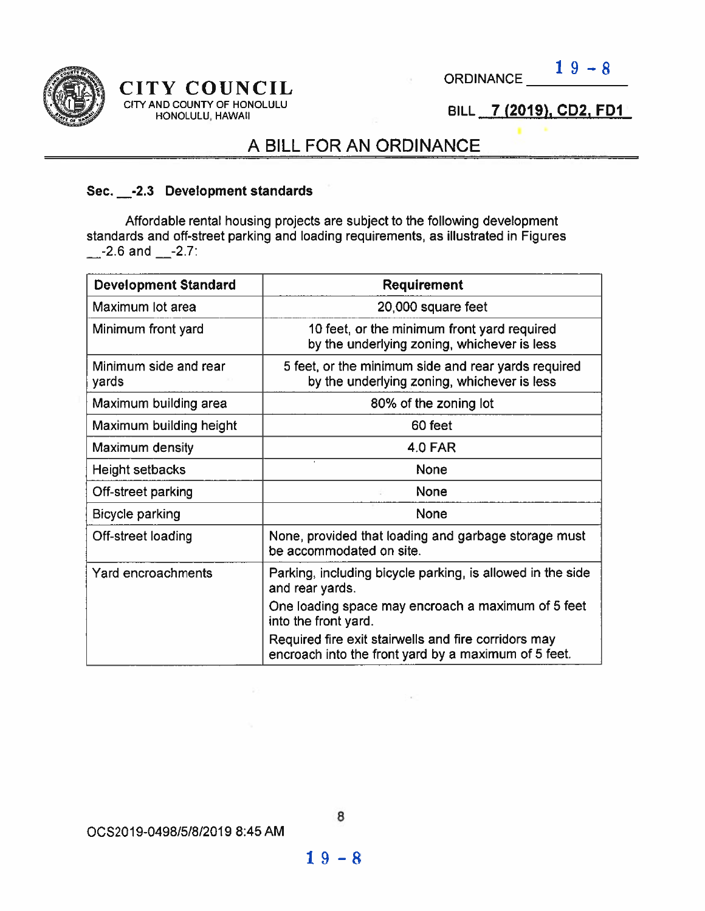



#### CITY COUNCIL CITY AND COUNTY OF HONOLULU HONOLULU, HAWAII

BILL 7 (2019), CD2, FD1

## A BILL FOR AN ORDINANCE

#### Sec. \_-2.3 Development standards

Affordable rental housing projects are subject to the following development standards and off-street parking and loading requirements, as illustrated in Figures  $-2.6$  and  $-2.7$ :

| <b>Development Standard</b>    | <b>Requirement</b>                                                                                           |  |  |
|--------------------------------|--------------------------------------------------------------------------------------------------------------|--|--|
| Maximum lot area               | 20,000 square feet                                                                                           |  |  |
| Minimum front yard             | 10 feet, or the minimum front yard required<br>by the underlying zoning, whichever is less                   |  |  |
| Minimum side and rear<br>yards | 5 feet, or the minimum side and rear yards required<br>by the underlying zoning, whichever is less           |  |  |
| Maximum building area          | 80% of the zoning lot                                                                                        |  |  |
| Maximum building height        | 60 feet                                                                                                      |  |  |
| Maximum density                | <b>4.0 FAR</b>                                                                                               |  |  |
| Height setbacks                | <b>None</b>                                                                                                  |  |  |
| Off-street parking             | None                                                                                                         |  |  |
| Bicycle parking                | None                                                                                                         |  |  |
| Off-street loading             | None, provided that loading and garbage storage must<br>be accommodated on site.                             |  |  |
| Yard encroachments             | Parking, including bicycle parking, is allowed in the side<br>and rear yards.                                |  |  |
|                                | One loading space may encroach a maximum of 5 feet<br>into the front yard.                                   |  |  |
|                                | Required fire exit stairwells and fire corridors may<br>encroach into the front yard by a maximum of 5 feet. |  |  |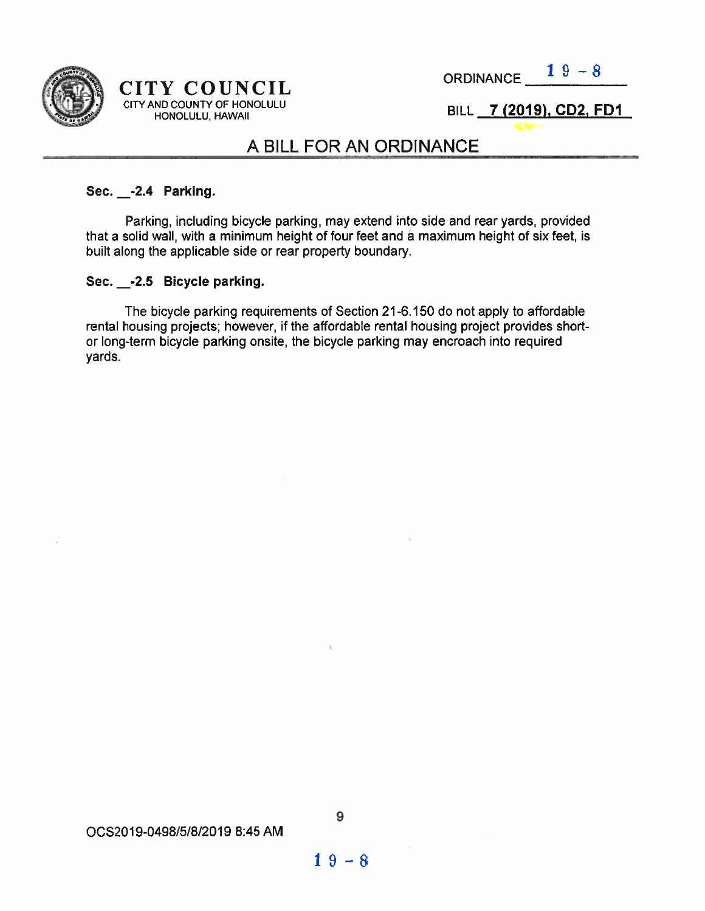

## $CITY$  COUNCIL ORDINANCE  $19-8$ CITY AND COUNTY OF HONOLULU ND COUNTY OF HONOLULU<br>HONOLULU, HAWAII BILL **7 (2019), CD2, FD1**

#### A BILL FOR AN ORDINANCE

#### Sec. \_\_-2.4 Parking

Parking, including bicycle parking, may extend into side and rear yards, provided that <sup>a</sup> solid wall, with <sup>a</sup> minimum height of four feet and <sup>a</sup> maximum height of six feet, is built along the applicable side or rear property boundary.

#### Sec. \_-2.5 Bicycle parking.

The bicycle parking requirements of Section 21-6.150 do not apply to affordable rental housing projects; however, if the affordable rental housing project provides short or long-term bicycle parking onsite, the bicycle parking may encroach into required yards.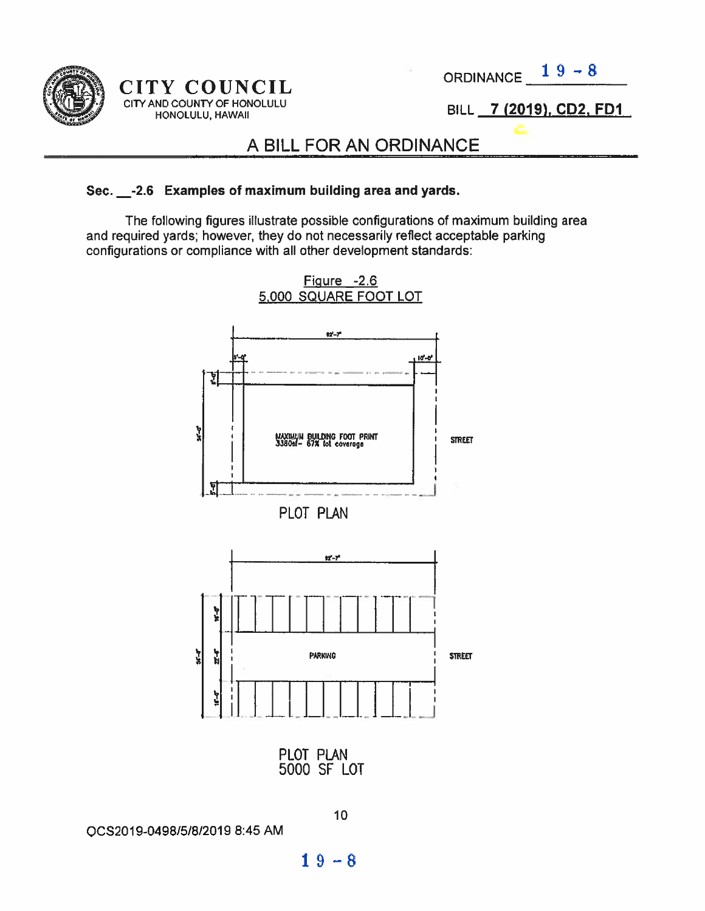

 $CITY$  COUNCIL ORDINANCE  $19-8$ CITY AND COUNTY OF HONOLULU<br>HONOLULU, HAWAII

BILL 7 (2019), CD2, FD1

## A BILL FOR AN ORDINANCE

#### Sec. \_-2.6 Examples of maximum building area and yards.

The following figures illustrate possible Configurations of maximum building area and required yards; however, they do not necessarily reflect acceptable parking configurations or compliance with all other development standards:



0CS2019-0498/5/8/2019 8:45 AM

 $19 - 8$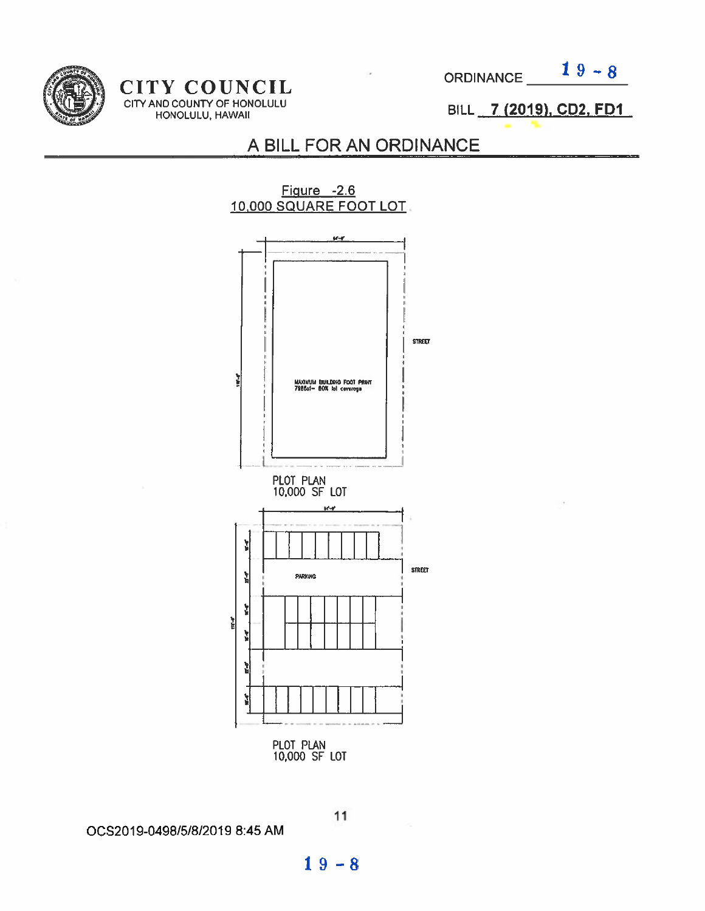

CITY COUNCIL CITY AND COUNTY OF HONOLULU HONOLULU] HAWAII

 $19 - 8$ **ORDINANCE** 

BILL 7 (2019), CD2, FD1

## A BILL FOR AN ORDINANCE



0CS2019-0498151812019 8:45 AM

 $19 - 8$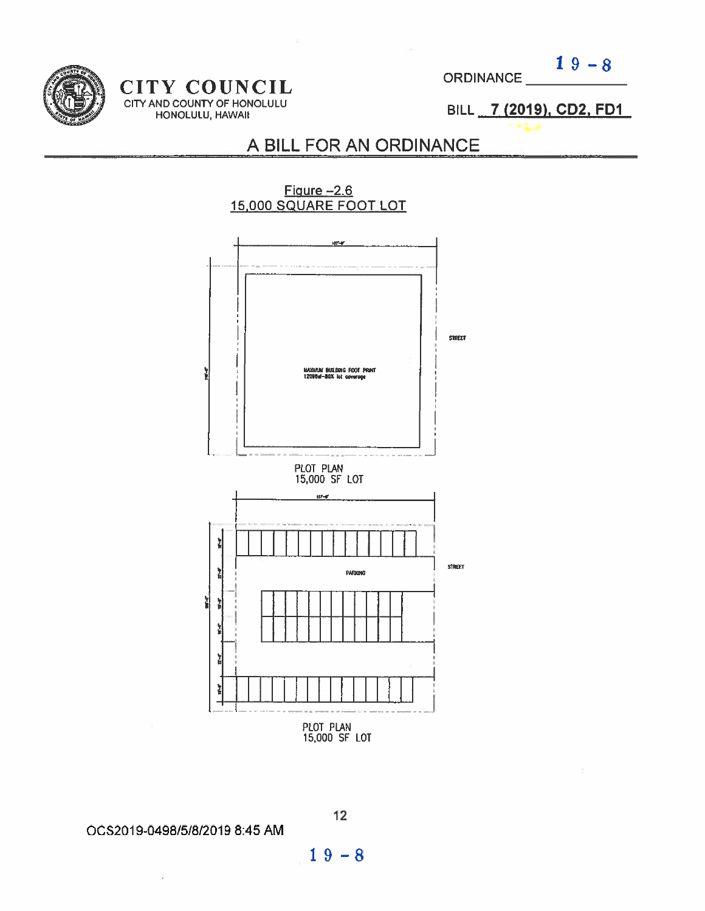CITY COUNCIL ORDINANCE CITY AND COUNTY OF HONOLULU IN THE REAL PROPERTY OF  $\mathsf{D}\mathsf{H}$  is a set of  $\mathsf{D}\mathsf{H}$  if  $\mathsf{H}$ HONOLULU, HAWAII

 $19 - 8$ 

19). CD2. F

## A BILL FOR AN ORDINANCE

NCIL<br>
HONOLULU<br>
A BILL FOR AN ORDINA<br>
<u>Figure –2.6</u><br>
15,000 SQUARE FOOT LOT Figure -2.6<br>15,000 SQUARE FOOT LOT <u>ara</u> STh El MAXUANI BULDRIG FOOT PRINT<br>120BBsf-80X lot coverage PLOT PLAN 15000 SF LOT  $ar-r$ **Iwww.Johnson** STREET Ì, PARIGING 뉣 ţ í, ì **R** PLOT PLAN 15000 SF LOT

0C52019-0498/518/2019 8:45 AM

V

 $19 - 8$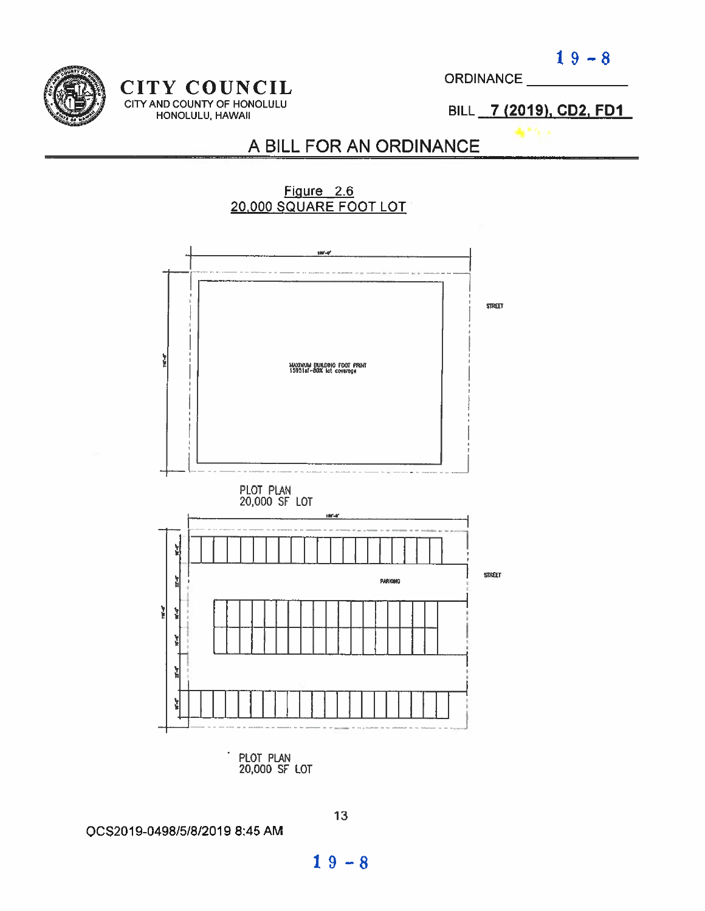$19 - 8$ 



#### CITY COUNCIL CITY AND COUNTY OF HONOLULU HONOLULU, HAWAII

**ORDINANCE** 

BILL 7 (2019), CD2, FD1

## A BILL FOR AN ORDINANCE



0052019-0498/5/8/2019 8:45 AM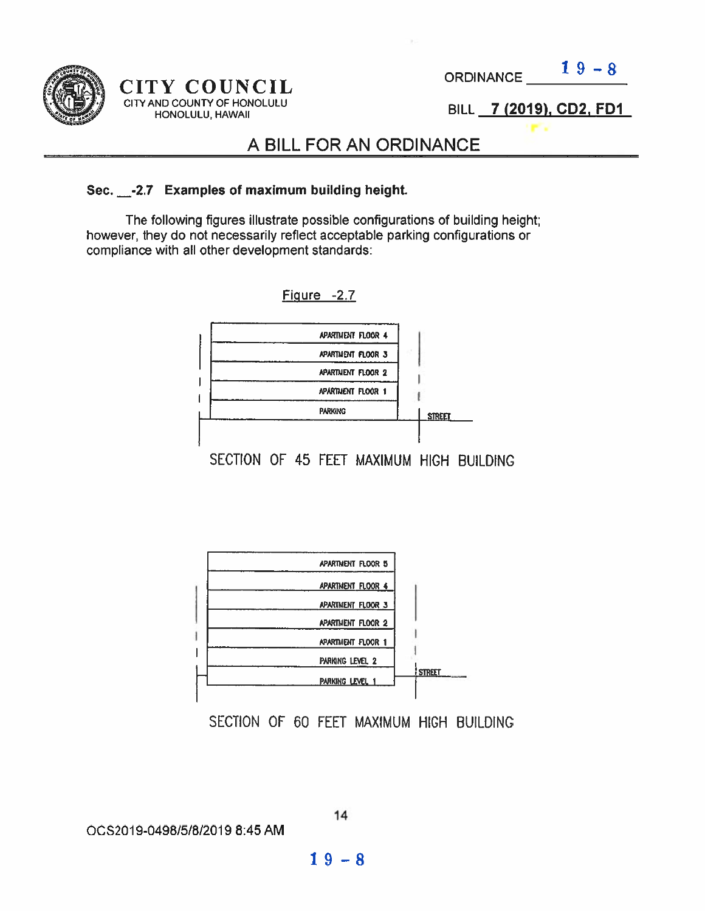

#### CITY COUNCIL CITY AND COUNTY OF HONOLULU HONOLULU, HAWAII

**ORDINANCE** 

 $19 - 8$ 

BILL 7 (2019), CD2. FDI

## A BILL FOR AN ORDINANCE

#### Sec. \_-2.7 Examples of maximum building height.

The following figures illustrate possible configurations of building height; however, they do not necessarily reflect acceptable parking configurations or compliance with all other development standards:





SECTION OF 60 FEET MAXIMUM HIGH BUILDING

OCS2O19-0498/5/8/2019 8:45 AM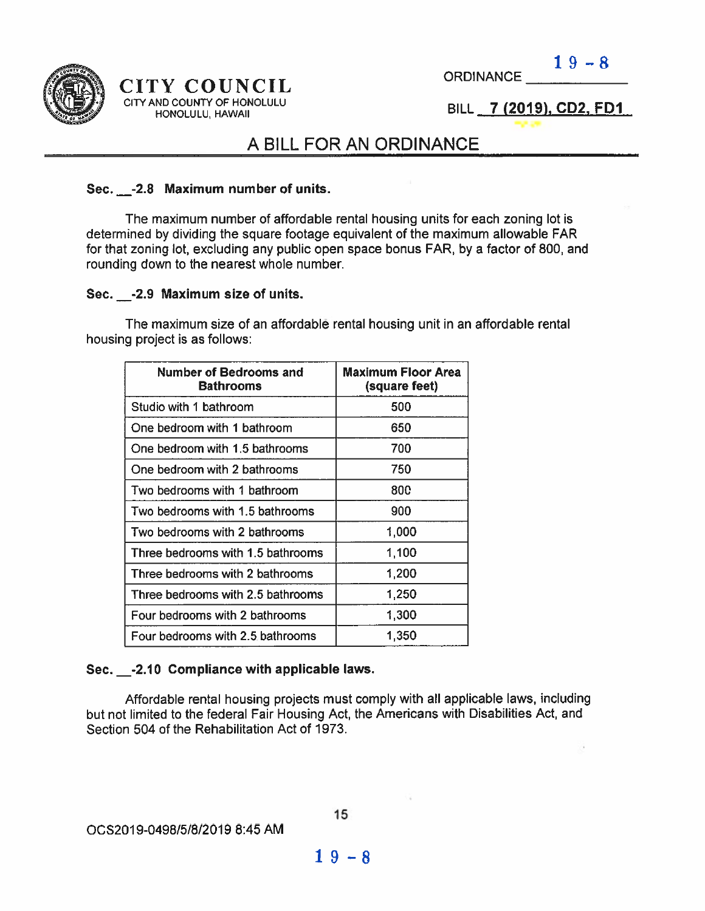

#### CITY COUNCIL CITY AND COUNTY OF HONOLULU HONOLULU] HAWAII

ORDINANCE  $19-8$ 

BILL 7 (2019). CD2, FDI

## A BILL FOR AN ORDINANCE

#### Sec. \_-2.8 Maximum number of units.

The maximum number of affordable rental housing units for each zoning lot is determined by dividing the square footage equivalent of the maximum allowable FAR for that zoning lot, excluding any public open space bonus FAR, by <sup>a</sup> factor of 800, and rounding down to the nearest whole number.

#### Sec. \_\_- 2.9 Maximum size of units.

The maximum size of an affordable rental housing unit in an affordable rental housing project is as follows:

| <b>Number of Bedrooms and</b><br><b>Bathrooms</b> | Maximum Floor Area<br>(square feet) |  |  |
|---------------------------------------------------|-------------------------------------|--|--|
| Studio with 1 bathroom                            | 500                                 |  |  |
| One bedroom with 1 bathroom                       | 650                                 |  |  |
| One bedroom with 1.5 bathrooms                    | 700                                 |  |  |
| One bedroom with 2 bathrooms                      | 750                                 |  |  |
| Two bedrooms with 1 bathroom                      | <b>800</b>                          |  |  |
| Two bedrooms with 1.5 bathrooms                   | 900                                 |  |  |
| Two bedrooms with 2 bathrooms                     | 1,000                               |  |  |
| Three bedrooms with 1.5 bathrooms                 | 1,100                               |  |  |
| Three bedrooms with 2 bathrooms                   | 1,200                               |  |  |
| Three bedrooms with 2.5 bathrooms                 | 1,250                               |  |  |
| Four bedrooms with 2 bathrooms                    | 1,300                               |  |  |
| Four bedrooms with 2.5 bathrooms                  | 1,350                               |  |  |

#### Sec. \_-2.1O Compliance with applicable laws.

Affordable rental housing projects must comply with all applicable laws, including but not limited to the federal Fair Housing Act, the Americans with Disabilities Act, and Section 504 of the Rehabilitation Act of 1973.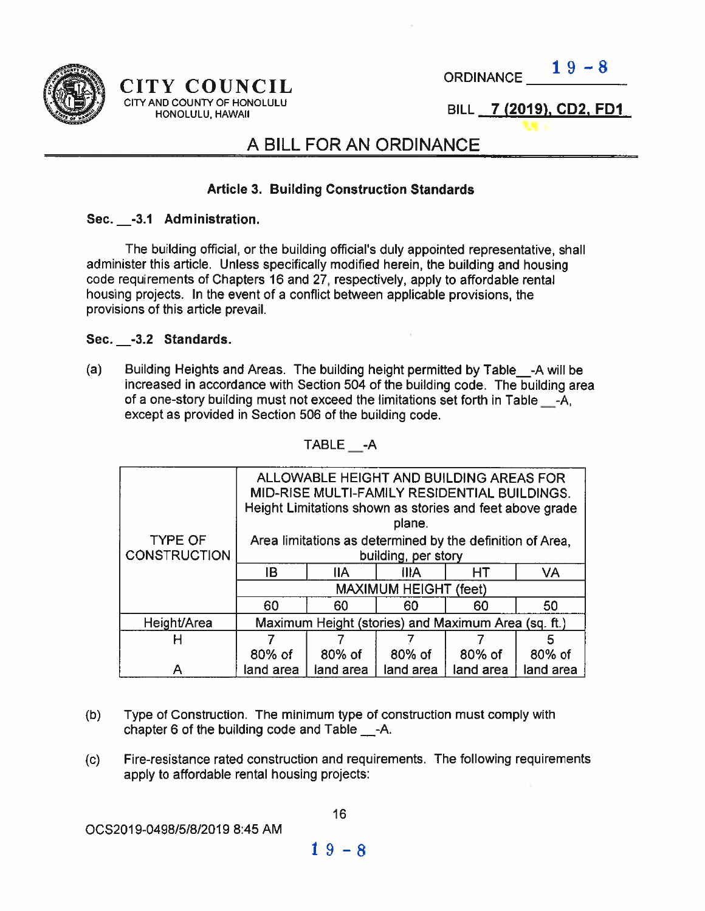

#### CITY COUNCIL CITY AND COUNTY OF HONOLULU HONOLULU, HAWAII

ORDINANCE  $19-8$ 

BILL 7 (2019), CD2, FD1

## A BILL FOR AN ORDINANCE

#### Article 3. Building Construction Standards

#### Sec. -3.1 Administration.

The building official, or the building official's duly appointed representative, shall administer this article. Unless specifically modified herein, the building and housing Code requirements of Chapters 16 and 27, respectively, apply to affordable rental housing projects. In the event of a conflict between applicable provisions, the provisions of this article prevail.

#### Sec. \_-3.2 Standards.

(a) Building Heights and Areas. The building height permitted by Table\_-A will be increased in accordance with Section 504 of the building code. The building area of <sup>a</sup> one-story building must not exceed the limitations set forth in Table \_-A, excep<sup>t</sup> as provided in Section 506 of the building code.

|                                       | ALLOWABLE HEIGHT AND BUILDING AREAS FOR<br>MID-RISE MULTI-FAMILY RESIDENTIAL BUILDINGS.<br>Height Limitations shown as stories and feet above grade<br>plane. |            |             |           |           |  |
|---------------------------------------|---------------------------------------------------------------------------------------------------------------------------------------------------------------|------------|-------------|-----------|-----------|--|
| <b>TYPE OF</b><br><b>CONSTRUCTION</b> | Area limitations as determined by the definition of Area,<br>building, per story                                                                              |            |             |           |           |  |
|                                       | IB                                                                                                                                                            | <b>IIA</b> | <b>IIIA</b> | <b>HT</b> | <b>VA</b> |  |
|                                       | <b>MAXIMUM HEIGHT (feet)</b>                                                                                                                                  |            |             |           |           |  |
|                                       | 60                                                                                                                                                            | 60         | 60          | 60        | 50        |  |
| Height/Area                           | Maximum Height (stories) and Maximum Area (sq. ft.)                                                                                                           |            |             |           |           |  |
| н                                     |                                                                                                                                                               |            |             |           | 5         |  |
|                                       | 80% of                                                                                                                                                        | 80% of     | 80% of      | 80% of    | 80% of    |  |
|                                       | land area                                                                                                                                                     | land area  | land area   | land area | land area |  |

TABLE -A

- (b) Type of Construction. The minimum type of construction must comply with chapter 6 of the building code and Table \_-A.
- (c) Fire-resistance rated construction and requirements. The following requirements apply to affordable rental housing projects: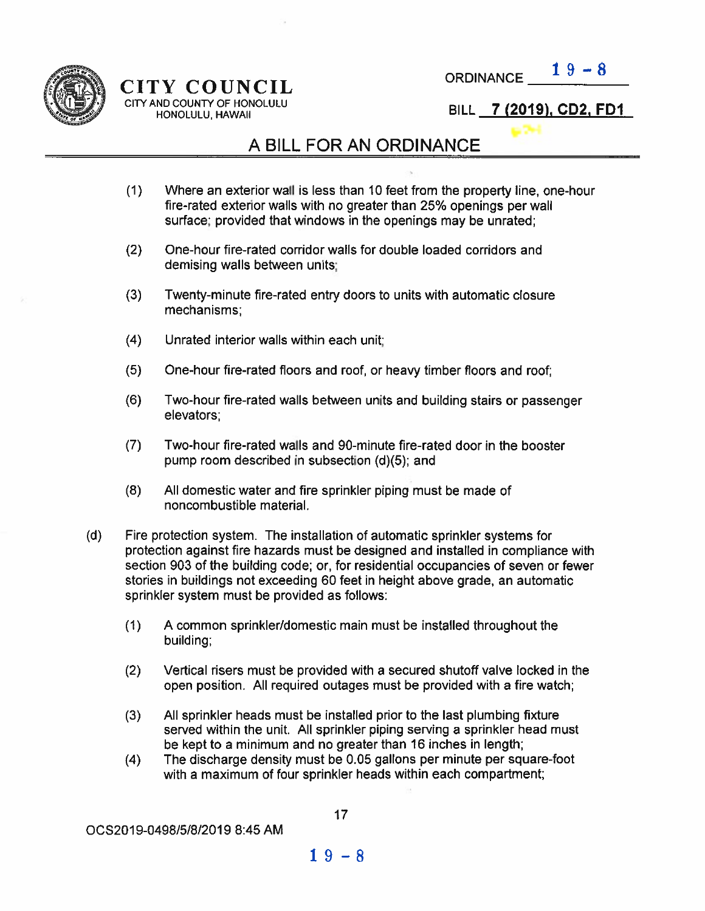

## CITY COUNCIL CITY AND COUNTY OF HONOLULU<br>HONOLULU, HAWAII

**ORDINANCE** 

BILL 7 (2019), CD2, FD1

## A BILL FOR AN ORDINANCE

- (1) Where an exterior wall is less than 10 feet from the property line, one-hour fire-rated exterior walls with no greater than 25% openings per wall surface; provided that windows in the openings may be unrated;
- (2) One-hour fire-rated corridor walls for double loaded corridors and demising walls between units;
- (3) Twenty-minute fire-rated entry doors to units with automatic closure mechanisms;
- (4) Unrated interior walls within each unit;
- (5) One-hour fire-rated floors and roof, or heavy timber floors and roof;
- (6) Two-hour fire-rated walls between units and building stairs or passenger elevators;
- (7) Two-hour fire-rated walls and 90-minute fire-rated door in the booster pump room described in subsection (d)(5); and
- (8) All domestic water and fire sprinkler piping must be made of noncombustible material.
- (d) Fire protection system. The installation of automatic sprinkler systems for protection against fire hazards must be designed and installed in compliance with section 903 of the building code; or, for residential occupancies of seven or fewer stories in buildings not exceeding 60 feet in height above grade, an automatic sprinkler system must be provided as follows:
	- (1) A common sprinkler/domestic main must be installed throughout the building;
	- (2) Vertical risers must be provided with <sup>a</sup> secured shutoff valve locked in the open position. All required outages must be provided with <sup>a</sup> fire watch;
	- (3) All sprinkler heads must be installed prior to the last plumbing fixture served within the unit. All sprinkler piping serving <sup>a</sup> sprinkler head must be kept to <sup>a</sup> minimum and no greater than 16 inches in length;
	- (4) The discharge density must be 0.05 gallons per minute per square-foot with <sup>a</sup> maximum of four sprinkler heads within each compartment;

0CS2019-0498/5/8/2019 8:45 AM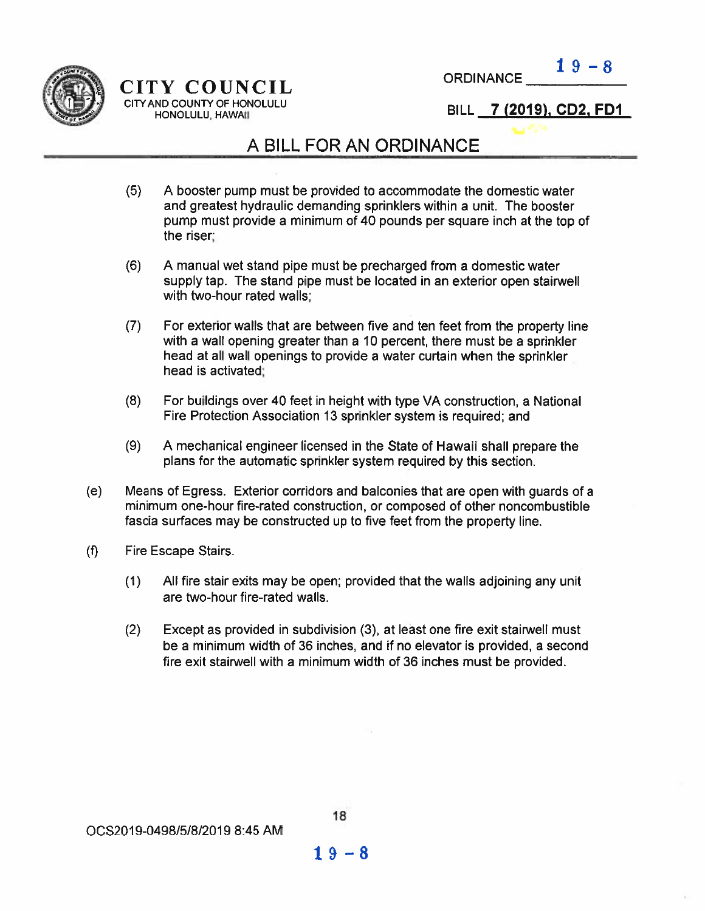



## CITY COUNCIL THE STREAM COUNTY OF HONOLULU<br>
HONOLULU, HAWAII HONOLULU

## A BILL FOR AN ORDINANCE

- (5) A booster pump must be provided to accommodate the domestic water and greatest hydraulic demanding sprinklers within <sup>a</sup> unit. The booster pump must provide <sup>a</sup> minimum of 40 pounds per square inch at the top of the riser;
- (6) A manual wet stand pipe must be precharged from <sup>a</sup> domestic water supply tap. The stand pipe must be located in an exterior open stairwell with two-hour rated walls;
- (7) For exterior walls that are between five and ten feet from the property line with <sup>a</sup> wall opening greater than <sup>a</sup> 10 percent, there must be <sup>a</sup> sprinkler head at all wall openings to provide <sup>a</sup> water curtain when the sprinkler head is activated;
- (8) For buildings over 40 feet in height with type VA construction, <sup>a</sup> National Fire Protection Association 13 sprinkler system is required; and
- (9) A mechanical engineer licensed in the State of Hawaii shall prepare the plans for the automatic sprinkler system required by this section.
- (e) Means of Egress. Exterior corridors and balconies that are open with guards of <sup>a</sup> minimum one-hour fire-rated construction, or composed of other noncombustible fascia surfaces may be constructed up to five feet from the property line.
- (f) Fire Escape Stairs.
	- (1) All fire stair exits may be open; provided that the walls adjoining any unit are two-hour fire-rated walls.
	- (2) Except as provided in subdivision (3), at least one fire exit stairwell must be <sup>a</sup> minimum width of 36 inches, and if no elevator is provided, <sup>a</sup> second fire exit stairwell with <sup>a</sup> minimum width of 36 inches must be provided.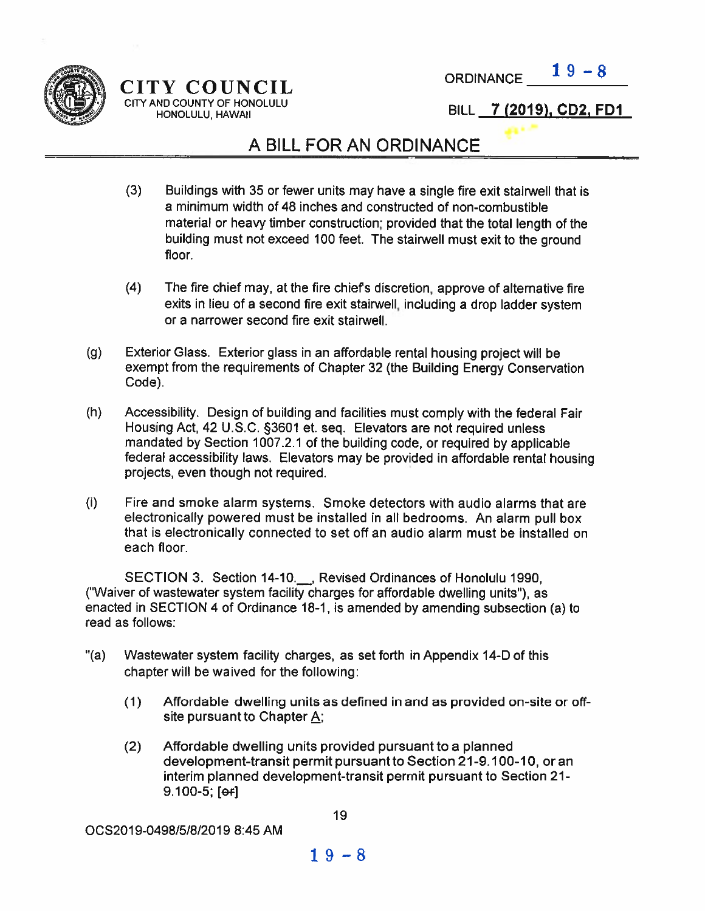

## $CITY$   $\text{COUNTL}$  ORDINANCE  $\frac{19-8}{5}$ CITY AND COUNTY OF HONOLULU HONOLULU, HAWAII

#### BILL 7 (2019), CD2, FD1

## A BILL FOR AN ORDINANCE

- (3) Buildings with <sup>35</sup> or fewer units may have <sup>a</sup> single fire exit stairwell that is <sup>a</sup> minimum width of 48 inches and constructed of non-combustible material or heavy timber construction; provided that the total length of the building must not exceed 100 feet. The stairwell must exit to the ground floor.
- (4) The fire chief may, at the fire chief's discretion, approve of alternative fire exits in lieu of <sup>a</sup> second fire exit stairwell, including <sup>a</sup> drop ladder system or <sup>a</sup> narrower second fire exit stairwell.
- (g) Exterior Glass. Exterior <sup>g</sup>lass in an affordable rental housing project will be exemp<sup>t</sup> from the requirements of Chapter 32 (the Building Energy Conservation Code).
- (h) Accessibility. Design of building and facilities must comply with the federal Fair Housing Act, <sup>42</sup> U.S.C. §3601 et. seq. Elevators are not required unless mandated by Section 1007.2.1 of the building code, or required by applicable federal accessibility laws. Elevators may be provided in affordable rental housing projects, even though not required.
- (i) Fire and smoke alarm systems. Smoke detectors with audio alarms that are electronically powere<sup>d</sup> must be installed in all bedrooms. An alarm pull box that is electronically connected to set off an audio alarm must be installed on each floor.

SECTION 3. Section 14-10. Revised Ordinances of Honolulu 1990, ("Waiver of wastewater system facility charges for affordable dwelling units'), as enacted in SECTION 4 of Ordinance 18-1, is amended by amending subsection (a) to read as follows:

- '(a) Wastewater system facility charges, as set forth in Appendix 14-D of this chapter will be waived for the following:
	- (1) Affordable dwelling units as defined in and as provided on-site or offsite pursuan<sup>t</sup> to Chapter A;
	- (2) Affordable dwelling units provided pursuan<sup>t</sup> to <sup>a</sup> planned development-transit permit pursuan<sup>t</sup> to Section 21-9.100-10, or an interim planned development-transit permit pursuan<sup>t</sup> to Section 21- 9.100-5; [e+]

0CS2019-04981518/2019 8:45 AM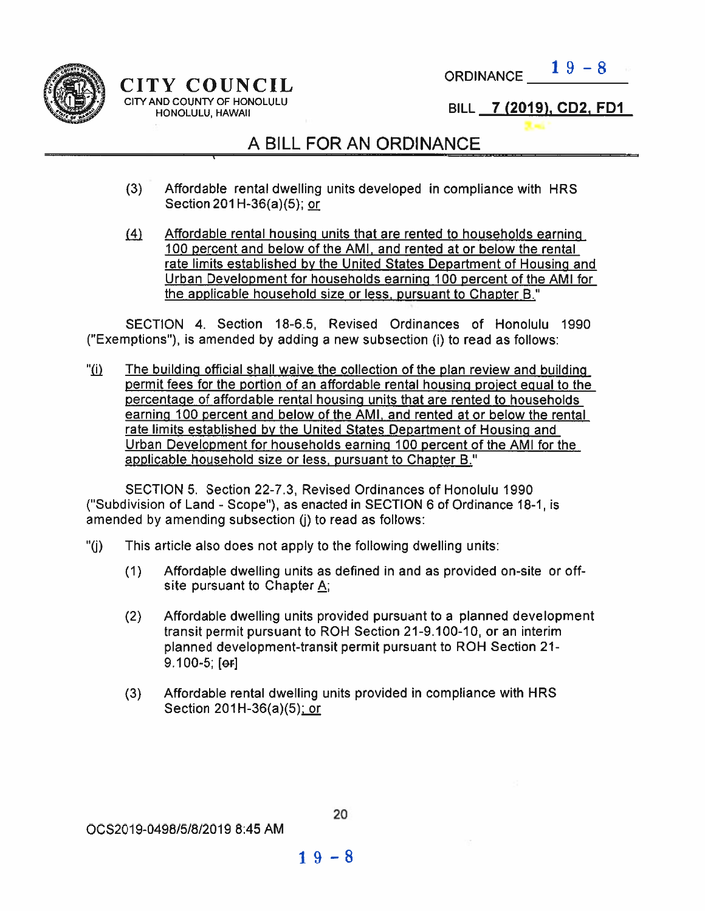

 $CITY$  COUNCIL ORDINANCE  $\frac{19-8}{2}$ CITY AND COUNTY OF HONOLULU<br>HONOLULU HAWAII I 4000 HONOLULU HONOLULU, HAWAII

## A BILL FOR AN ORDINANCE

- (3) Affordable rental dwelling units developed in compliance with HRS Section 201 H-36(a)(5); or
- (4) Affordable rental housing units that are rented to households earning 100 percent and below of the AMI, and rented at or below the rental rate limits established by the United States Department of Housing and Urban Development for households earning 100 percen<sup>t</sup> of the AMI for the applicable household size or less, pursuant to Chapter B."

SECTION 4. Section 18-6.5, Revised Ordinances of Honolulu 1990 ('Exemptions"), is amended by adding <sup>a</sup> new subsection (i) to read as follows:

"(i) The building official shall waive the collection of the plan review and building permit fees for the portion of an affordable rental housing proiect egual to the percentage of affordable rental housing units that are rented to households earning 100 percen<sup>t</sup> and below of the AMI, and rented at or below the rental rate limits established by the United States Department of Housing and Urban Development for households earning 100 percen<sup>t</sup> of the AMI for the applicable household size or less, pursuan<sup>t</sup> to Chapter 8."

SECTION 5. Section 22-7.3, Revised Ordinances of Honolulu 1990 ("Subdivision of Land - Scope"), as enacted in SECTION 6 of Ordinance 18-1, is amended by amending subsection (i) to read as follows:

- "(i) This article also does not apply to the following dwelling units:
	- (1) Affordable dwelling units as defined in and as provided on-site or offsite pursuant to Chapter  $A$ ;
	- (2) Affordable dwelling units provided pursuan<sup>t</sup> to <sup>a</sup> planned development transit permit pursuant to ROH Section 21-9.100-10, or an interim planned development-transit permit pursuan<sup>t</sup> to ROH Section 21- 9.100-5; [or]
	- (3) Affordable rental dwelling units provided in compliance with HRS Section  $201H-36(a)(5)$ ; or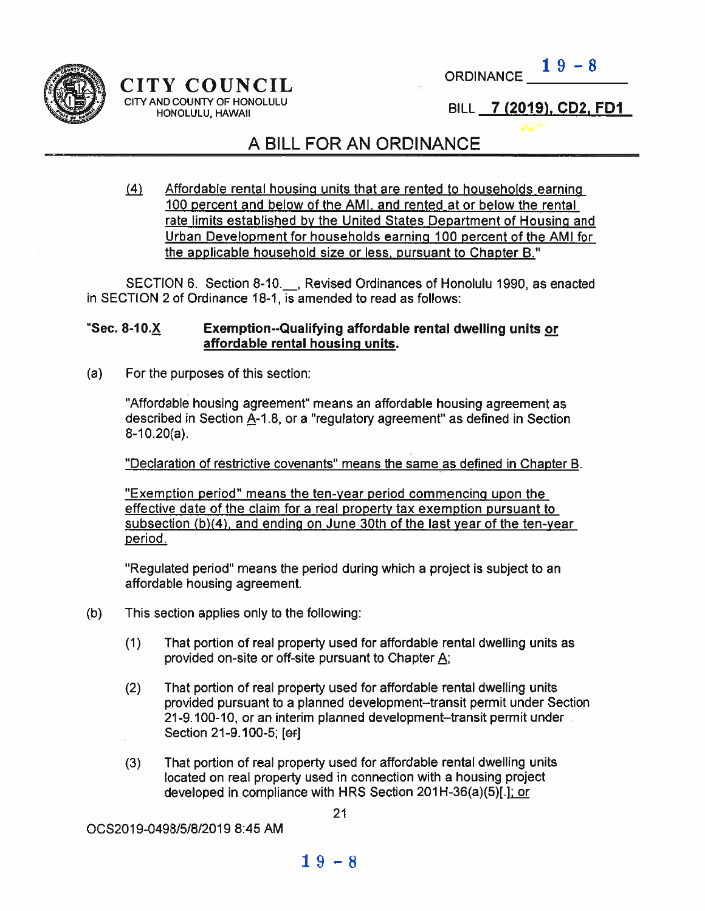

#### CITY COUNCIL CITY AND COUNTY OF HONOLULU HONOLULU, HAWAII

ORDINANCE  $19-8$ 

BILL 7 (2019), CD2, FD1

## A BILL FOR AN ORDINANCE

4J Affordable rental housing units that are rented to households earning 100 percent and below of the AMI, and rented at or below the rental rate limits established by the United States Department of Housing and Urban Development for households earning <sup>100</sup> percen<sup>t</sup> of the AMI for the applicable household size or less, pursuant to Chapter B."

SECTION 6. Section 8-10. Revised Ordinances of Honolulu 1990, as enacted in SECTION 2 of Ordinance 18-1, is amended to read as follows:

#### "Sec. 8-1O.X Exemption--Qualifying affordable rental dwelling units or affordable rental housing units.

(a) For the purposes of this section:

"Affordable housing agreement" means an affordable housing agreemen<sup>t</sup> as described in Section A-1.8, or a "regulatory agreement" as defined in Section  $8-10.20(a)$ .

"Declaration of restrictive covenants" means the same as defined in Chapter B.

"Exemption period" means the ten-year period commencing upon the effective date of the claim for <sup>a</sup> real property tax exemption pursuan<sup>t</sup> to subsection (b)(4), and ending on June 30th of the last year of the ten-year period.

"Regulated period" means the period during which <sup>a</sup> project is subject to an affordable housing agreement.

- (b) This section applies only to the following:
	- (1) That portion of real property used for affordable rental dwelling units as provided on-site or off-site pursuant to Chapter  $\underline{A}$ ;
	- (2) That portion of real property used for affordable rental dwelling units provided pursuan<sup>t</sup> to <sup>a</sup> planned development—transit permit under Section 21-9.100-10, oran interim planned development—transit permit under Section 21-9.100-5; [ef]
	- (3) That portion of real property used for affordable rental dwelling units located on real property used in connection with <sup>a</sup> housing project developed in compliance with HRS Section  $201H-36(a)(5)$ [.]; or

OC52019-0498/5/8/2019 8:45 AM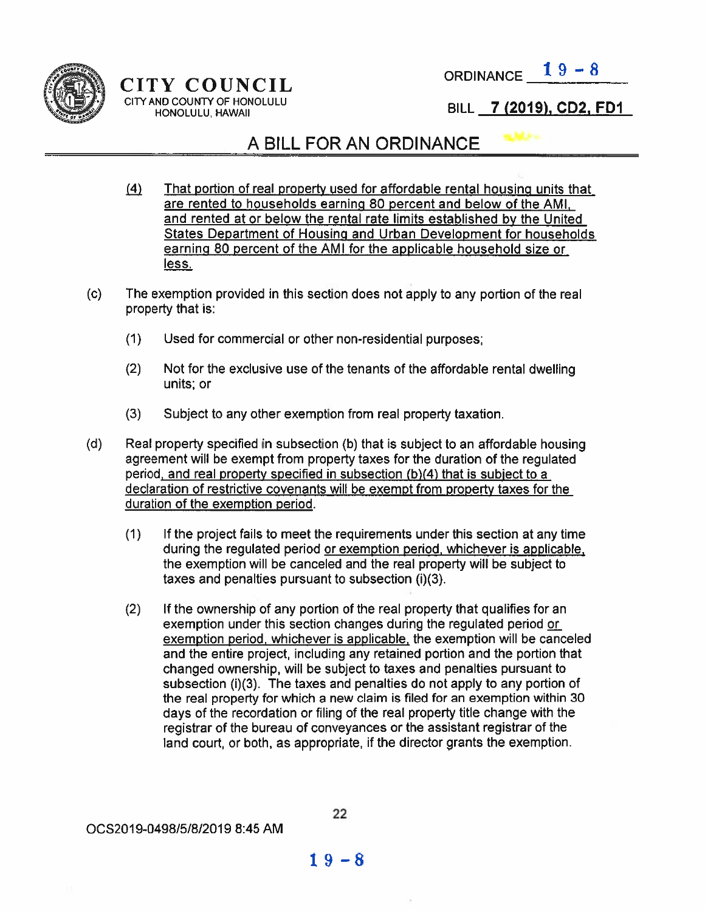

## $CITY$  COUNCIL ORDINANCE  $19-8$ CITY BILL <sup>7</sup> (2019), CD2, FDI

## A BILL FOR AN ORDINANCE

- 141 That portion of real property used for affordable rental housing units that are rented to households earning 80 percen<sup>t</sup> and below of the AMI, and rented at or below the rental rate limits established by the United States Department of Housing and Urban Development for households earning 80 percen<sup>t</sup> of the AMI for the applicable household size or less.
- (c) The exemption provided in this section does not apply to any portion of the real property that is:
	- (1) Used for commercial or other non-residential purposes;
	- (2) Not for the exclusive use of the tenants of the affordable rental dwelling units; or
	- (3) Subject to any other exemption from real property taxation.
- (d) Real property specified in subsection (b) that is subject to an affordable housing agreemen<sup>t</sup> will be exemp<sup>t</sup> from property taxes for the duration of the regulated period, and real property specified in subsection (b)(4) that is subiect to <sup>a</sup> declaration of restrictive covenants will be exemp<sup>t</sup> from property taxes for the duration of the exemption period.
	- (1) If the project fails to meet the requirements under this section at any time during the regulated period or exemption period, whichever is applicable, the exemption will be canceled and the real property will be subject to taxes and penalties pursuant to subsection  $(i)(3)$ .
	- (2) If the ownership of any portion of the real property that qualifies for an exemption under this section changes during the regulated period exemption period, whichever is applicable, the exemption will be canceled and the entire project, including any retained portion and the portion that changed ownership, will be subject to taxes and penalties pursuan<sup>t</sup> to subsection (i)(3). The taxes and penalties do not apply to any portion of the real property for which <sup>a</sup> new claim is filed for an exemption within 30 days of the recordation or filing of the real property title change with the registrar of the bureau of conveyances or the assistant registrar of the land court, or both, as appropriate, if the director grants the exemption.

OCS2O19-0498/5/8/2019 8:45 AM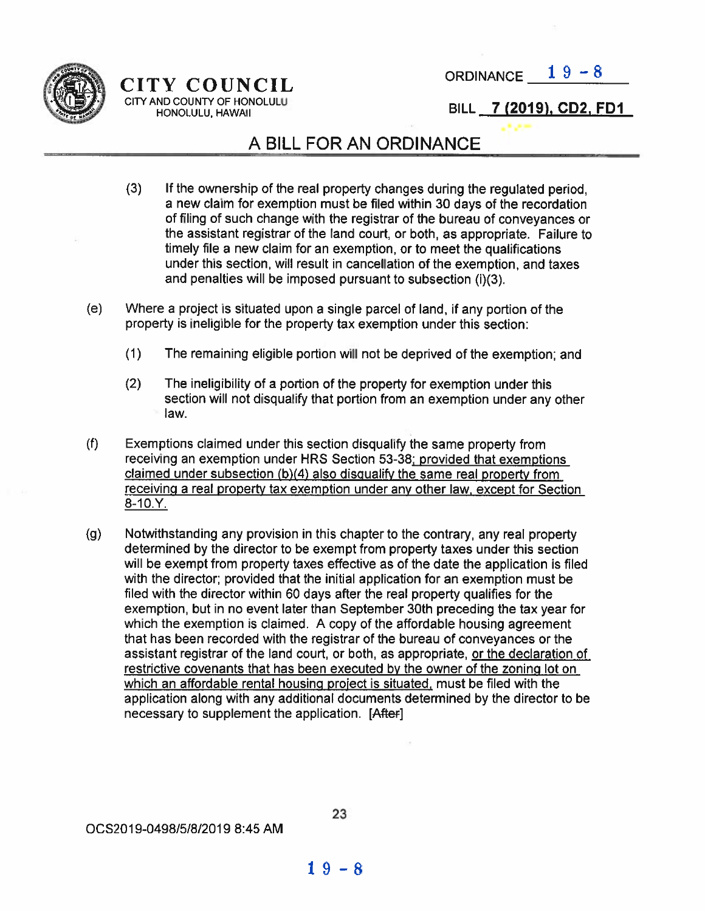

# CITY COUNCIL ORDINANCE  $19-8$ <br>CITY AND COUNTY OF HONOLULU

### HONOLULU, HAWAII BILL 7 (2019), CD2, FD1

## A BILL FOR AN ORDINANCE

- (3) If the ownership of the real property changes during the regulated period, <sup>a</sup> new claim for exemption must be filed within <sup>30</sup> days of the recordation of filing of such change with the registrar of the bureau of conveyances or the assistant registrar of the land court, or both, as appropriate. Failure to timely file <sup>a</sup> new claim for an exemption, or to meet the qualifications under this section, will result in cancellation of the exemption, and taxes and penalties will be imposed pursuan<sup>t</sup> to subsection (i)(3).
- (e) Where <sup>a</sup> project is situated upon <sup>a</sup> single parce<sup>l</sup> of land, if any portion of the property is ineligible for the property tax exemption under this section:
	- (1) The remaining eligible portion will not be deprived of the exemption; and
	- (2) The ineligibility of <sup>a</sup> portion of the property for exemption under this section will not disqualify that portion from an exemption under any other law.
- (f) Exemptions claimed under this section disqualify the same property from receiving an exemption under HRS Section 53-38: provided that exemptions claimed under subsection (b)(4) also disqualify the same real property from receiving <sup>a</sup> real property tax exemption under any other law, excep<sup>t</sup> for Section  $8 - 10. Y.$
- (g) Notwithstanding any provision in this chapter to the contrary, any real property determined by the director to be exemp<sup>t</sup> from property taxes under this section will be exemp<sup>t</sup> from property taxes effective as of the date the application is filed with the director; provided that the initial application for an exemption must be filed with the director within 60 days after the real property qualifies for the exemption, but in no event later than September 30th preceding the tax year for which the exemption is claimed. A copy of the affordable housing agreemen<sup>t</sup> that has been recorded with the registrar of the bureau of conveyances or the assistant registrar of the land court, or both, as appropriate, or the declaration of restrictive covenants that has been executed by the owner of the zoning lot on which an affordable rental housing proiect is situated, must be filed with the application along with any additional documents determined by the director to be necessary to supplement the application. [After]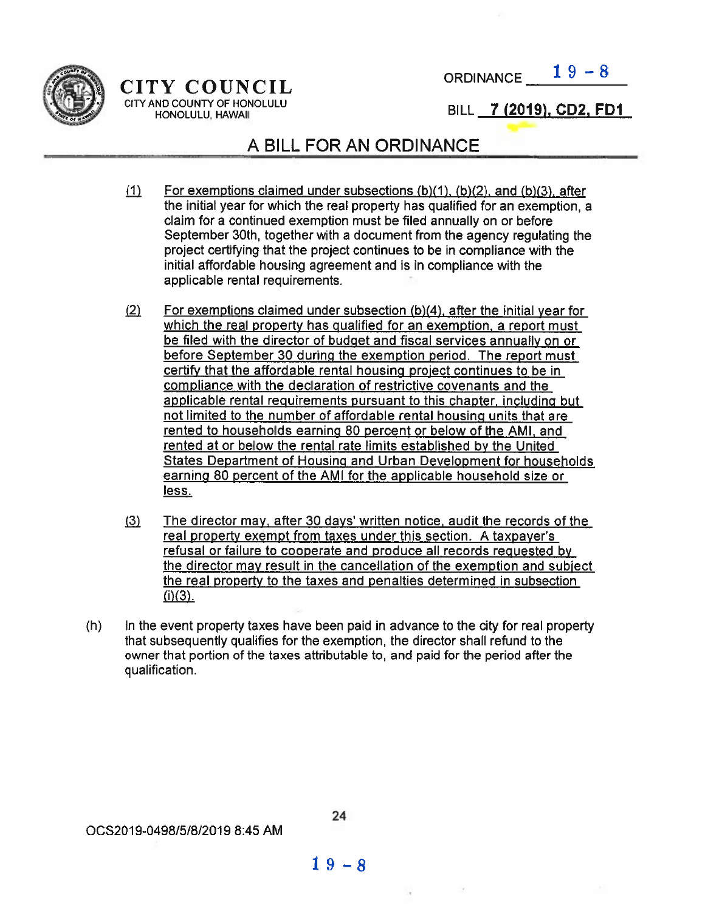

CITY AND COUNTY OF HONOLULU HONOLULU, HAWAII

 $CITY$   $\text{COUNTL}$   $\qquad \qquad \text{ORDINANCE} \_\text{19--8}$ 

BILL 7 (2019), CD2, FD1

## A BILL FOR AN ORDINANCE

- (1) For exemptions claimed under subsections  $(b)(1)$ ,  $(b)(2)$ , and  $(b)(3)$ , after the initial year for which the real property has qualified for an exemption, a claim for <sup>a</sup> continued exemption must be filed annually on or before September 30th, together with <sup>a</sup> document from the agency regulating the project certifying that the project continues to be in compliance with the initial affordable housing agreemen<sup>t</sup> and is in compliance with the applicable rental requirements.
- $(2)$ For exemptions claimed under subsection  $(b)(4)$ , after the initial year for which the real property has qualified for an exemption, a report must be filed with the director of budget and fiscal services annually on or before September <sup>30</sup> during the exemption period. The repor<sup>t</sup> must certify that the affordable rental housing project continues to be in compliance with the declaration of restrictive covenants and the applicable rental requirements pursuan<sup>t</sup> to this chapter. including but not limited to the number of affordable rental housing units that are rented to households earning 80 percen<sup>t</sup> or below of the AMI, and rented at or below the rental rate limits established by the United States Department of Housing and Urban Development for households earning 80 percen<sup>t</sup> of the AMI for the applicable household size or less.
- $(3)$ The director may. after 30 days' written notice, audit the records of the real property exemp<sup>t</sup> from taxes under this section. A taxpayer's refusal or failure to cooperate and produce all records requested by the director may result in the cancellation of the exemption and subiect the real property to the taxes and penalties determined in subsection  $(i)(3)$ .
- (h) In the event property taxes have been paid in advance to the city for real property that subsequently qualifies for the exemption, the director shall refund to the owner that portion of the taxes attributable to, and paid for the period after the qualification.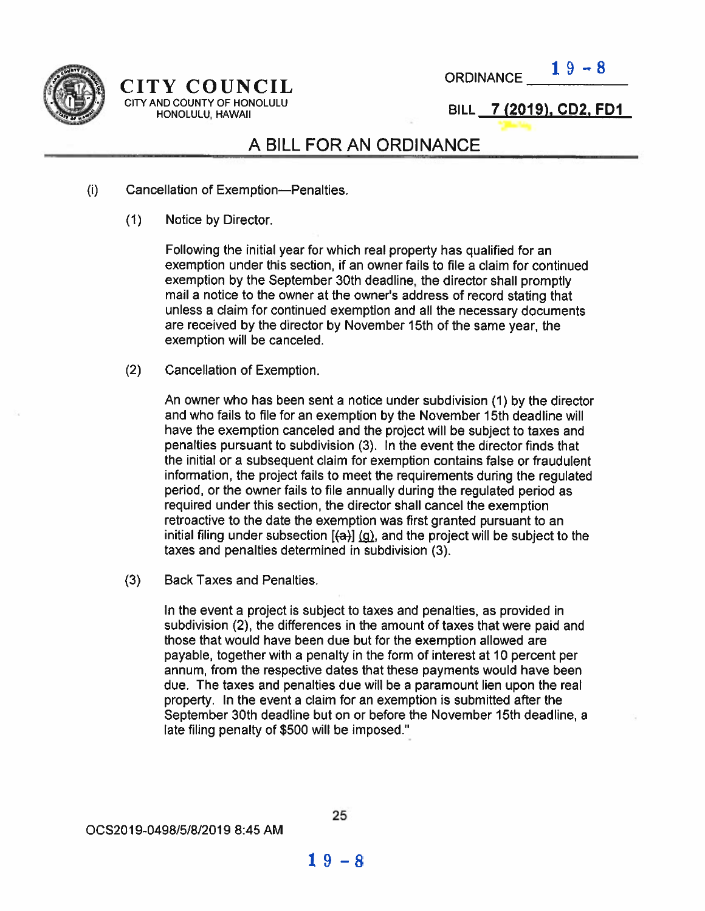

#### CITY COUNCIL ORDINANCE. CITY AND COUNTY OF HONOLULU<br>HONOLULU HAWAII 4000 HONOLULU HONOLULU, HAWAII

## A BILL FOR AN ORDINANCE

- (i) Cancellation of Exemption—Penalties.
	- (1) Notice by Director.

Following the initial year for which real property has qualified for an exemption Under this section, if an owner fails to file <sup>a</sup> claim for continued exemption by the September 30th deadline, the director shall promptly mail <sup>a</sup> notice to the owner at the owner's address of record stating that unless <sup>a</sup> claim for continued exemption and all the necessary documents are received by the director by November 15th of the same year, the exemption will be canceled.

(2) Cancellation of Exemption.

An owner who has been sent <sup>a</sup> notice under subdivision (1) by the director and who fails to file for an exemption by the November 15th deadline will have the exemption canceled and the project will be subject to taxes and penalties pursuan<sup>t</sup> to subdivision (3). In the event the director finds that the initial or <sup>a</sup> subsequent claim for exemption contains false or fraudulent information, the project fails to meet the requirements during the regulated period, or the owner fails to file annually during the regulated period as required under this section, the director shall cancel the exemption retroactive to the date the exemption was first granted pursuan<sup>t</sup> to an initial filing under subsection  $[(a)] (g)$ , and the project will be subject to the taxes and penalties determined in subdivision (3).

(3) Back Taxes and Penalties.

In the event <sup>a</sup> project is subject to taxes and penalties, as provided in subdivision (2), the differences in the amount of taxes that were paid and those that would have been due but for the exemption allowed are payable, together with <sup>a</sup> penalty in the form of interest at 10 percen<sup>t</sup> per annum, from the respective dates that these payments would have been due. The taxes and penalties due will be <sup>a</sup> paramoun<sup>t</sup> lien upon the real property. In the event <sup>a</sup> claim for an exemption is submitted after the September 30th deadline but on or before the November 15th deadline, <sup>a</sup> late filing penalty of \$500 will be imposed."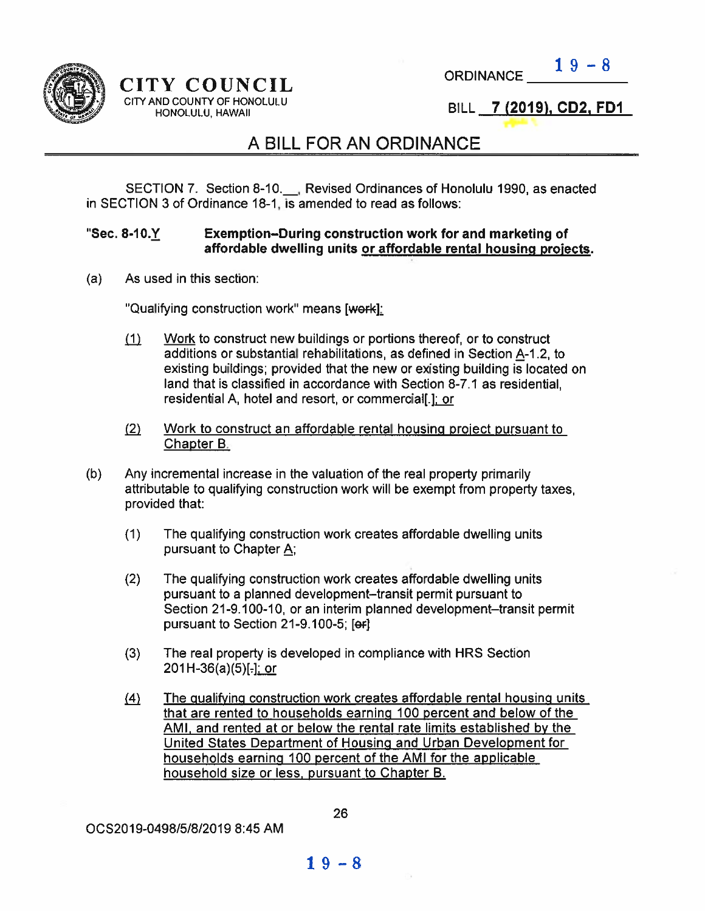

CITY COUNCIL ORDINANCE CITY AND COUNTY OF HONOLULU<br>IN THONOLULU HAWAII HONOLULU, HAWAII

 $19 - 8$ 

## A BILL FOR AN ORDINANCE

SECTION 7. Section 8-10. Revised Ordinances of Honolulu 1990, as enacted in SECTION 3 of Ordinance 18-1, is amended to read as follows:

#### "Sec. 8-10.Y Exemption—During construction work for and marketing of affordable dwelling units or affordable rental housing projects.

(a) As used in this section:

"Qualifying construction work" means [work]:

- $f(1)$  Work to construct new buildings or portions thereof, or to construct additions or substantial rehabilitations, as defined in Section  $A-1.2$ , to existing buildings; provided that the new or existing building is located on land that is classified in accordance with Section 8-7.1 as residential, residential A, hotel and resort, or commercial[.]; or
- $(2)$ Work to construct an affordable rental housing project pursuant to Chapter B.
- (b) Any incremental increase in the valuation of the real property primarily attributable to qualifying construction work will be exemp<sup>t</sup> from property taxes, provided that:
	- (1) The qualifying construction work creates affordable dwelling units pursuan<sup>t</sup> to Chapter A;
	- (2) The qualifying construction work creates affordable dwelling units pursuan<sup>t</sup> to <sup>a</sup> planned development—transit permit pursuan<sup>t</sup> to Section 21-9.100-10, or an interim planned development—transit permit pursuant to Section 21-9.100-5; [ef]
	- (3) The real property is developed in compliance with HRS Section  $201H-36(a)(5)$ [-]; or
	- $(4)$  The qualifying construction work creates affordable rental housing units that are rented to households earning 100 percen<sup>t</sup> and below of the AMI, and rented at or below the rental rate limits established by the United States Department of Housing and Urban Development for households earning 100 percen<sup>t</sup> of the AMI for the applicable household size or less, pursuant to Chapter B.

OC52019-0498/5/8/2019 8:45 AM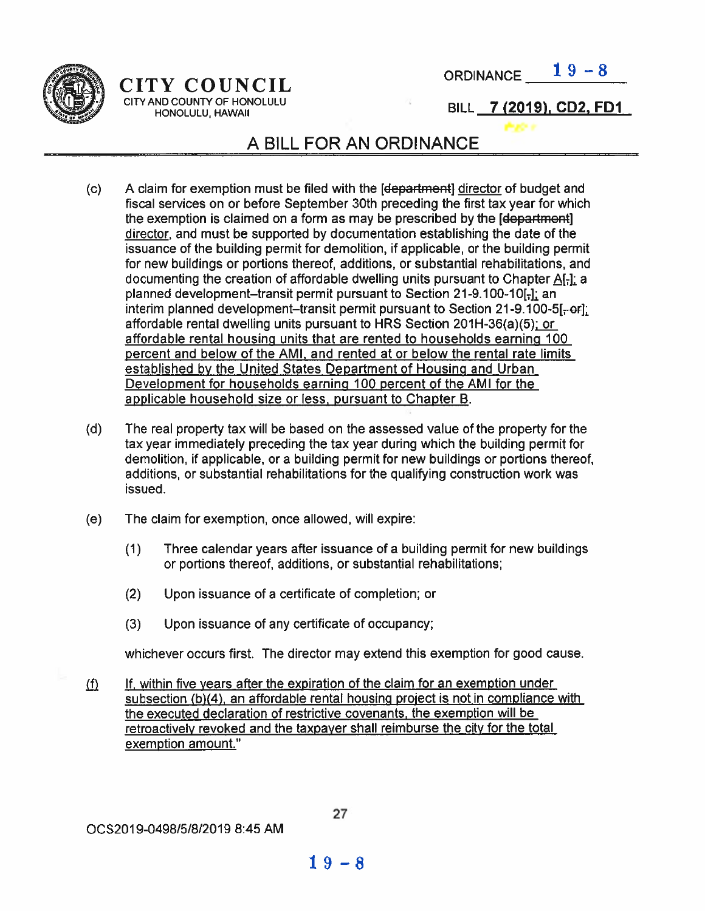

 $CITY$  COUNCIL ORDINANCE  $\frac{19-8}{2}$ 

CITY AND COUNTY OF HONOLULU <sup>g</sup> <sup>4</sup>  $\begin{array}{lll} \text{Y} & \text{COUNT} & \text{ORDINANCE} & \text{1 } 9 - 8 \\ \text{ND COUNITY OF HONOLULU} & & & \text{BILL} & \text{7 } (2019), \text{CD2, FD1} \end{array}$ 

## A BILL FOR AN ORDINANCE

- (C) A Claim for exemption must be filed with the [department] director of budget and fiscal services on or before September 30th preceding the first tax year for which the exemption is claimed on a form as may be prescribed by the [department] director, and must be supported by documentation establishing the date of the issuance of the building permit for demolition, if applicable, or the building permit for new buildings or portions thereof, additions, or substantial rehabilitations, and documenting the creation of affordable dwelling units pursuant to Chapter A[-]; a planned development–transit permit pursuant to Section 21-9.100-10E. an interim planned development–transit permit pursuant to Section 21-9.100-5[ $-$ or]; affordable rental dwelling units pursuant to HRS Section 201H-36(a)(5); or affordable rental housing units that are rented to households earning 100 percen<sup>t</sup> and below of the AMI. and rented at or below the rental rate limits established by the United States Department of Housing and Urban Development for households earning 100 percen<sup>t</sup> of the AMI for the applicable household size or less, pursuan<sup>t</sup> to Chapter B.
- (d) The real property tax will be based on the assessed value of the property for the tax year immediately preceding the tax year during which the building permit for demolition, if applicable, or <sup>a</sup> building permit for new buildings or portions thereof, additions, or substantial rehabilitations for the qualifying construction work was issued.
- (e) The claim for exemption, once allowed, will expire:
	- (1) Three calendar years after issuance of <sup>a</sup> building permit for new buildings or portions thereof, additions, or substantial rehabilitations;
	- (2) Upon issuance of <sup>a</sup> certificate of completion; or
	- (3) Upon issuance of any certificate of occupancy;

whichever occurs first. The director may extend this exemption for good cause.

 $\int$  If, within five years after the expiration of the claim for an exemption under subsection (b)(4), an affordable rental housing project is not in compliance with the executed declaration of restrictive covenants, the exemption will be retroactively revoked and the taxpayer shall reimburse the city for the total exemption amount."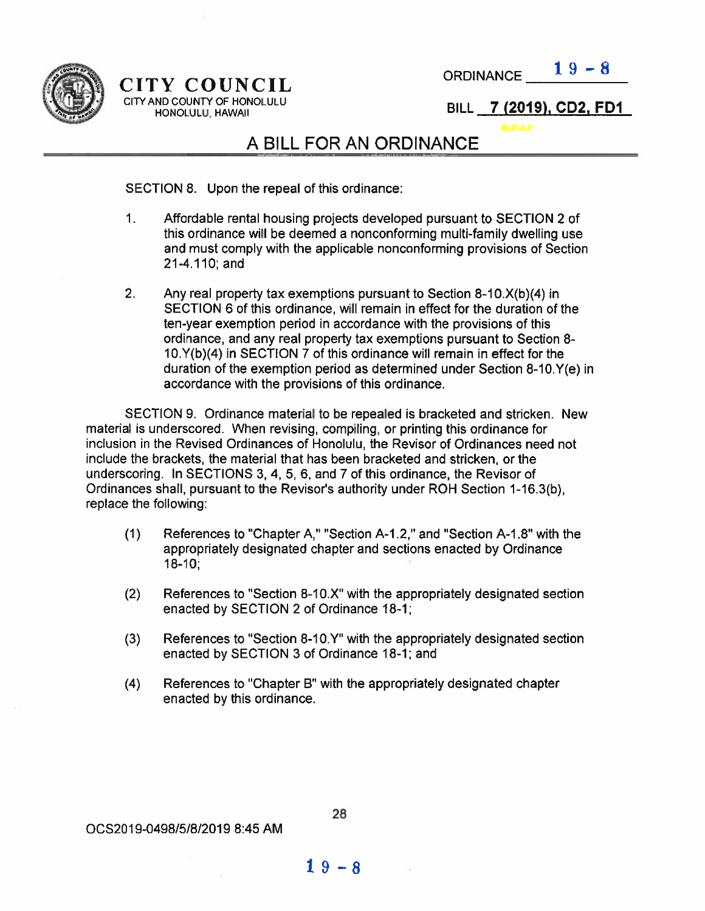

 $CITY$  COUNCIL ORDINANCE  $19-8$ CITY AND COUNTY OF HONOLULU<br>
HONOLULU HAWAII NAWAII 20019), CD2, FD1 HONOLULU, HAWAII

## A BILL FOR AN ORDINANCE

#### SECTION 8. Upon the repeal of this ordinance:

- 1. Affordable rental housing projects developed pursuan<sup>t</sup> to SECTION 2 of this ordinance will be deemed <sup>a</sup> nonconforming multi-family dwelling use and must comply with the applicable nonconforming provisions of Section 21-4.110; and
- 2. Any real property tax exemptions pursuant to Section 8-10.X(b)(4) in SECTION 6 of this ordinance, will remain in effect for the duration of the ten-year exemption period in accordance with the provisions of this ordinance, and any real property tax exemptions pursuan<sup>t</sup> to Section 8 i0.Y(b)(4) in SECTION 7 of this ordinance will remain in effect for the duration of the exemption period as determined under Section 8-1O.Y(e) in accordance with the provisions of this ordinance.

SECTION 9, Ordinance material to be repealed is bracketed and stricken. New material is underscored. When revising, compiling, or printing this ordinance for inclusion in the Revised Ordinances of Honolulu, the Revisor of Ordinances need not include the brackets, the material that has been bracketed and stricken, or the underscoring. In SECTIONS 3, 4, 5, 6, and 7 of this ordinance, the Revisor of Ordinances shall, pursuan<sup>t</sup> to the Revisor's authority under ROH Section 1-16.3(b), replace the following:

- (1) References to "Chapter A," "Section A-1.2," and "Section A-1.8" with the appropriately designated chapter and sections enacted by Ordinance 18-10;
- (2) References to "Section 8-lOX" with the appropriately designated section enacted by SECTION 2 of Ordinance 18-1;
- (3) References to "Section 8-10.Y" with the appropriately designated section enacted by SECTION 3 of Ordinance 18-1; and
- (4) References to "Chapter B" with the appropriately designated chapter enacted by this ordinance.

0CS2019-0498/518/20i9 8:45 AM

$$
19-8
$$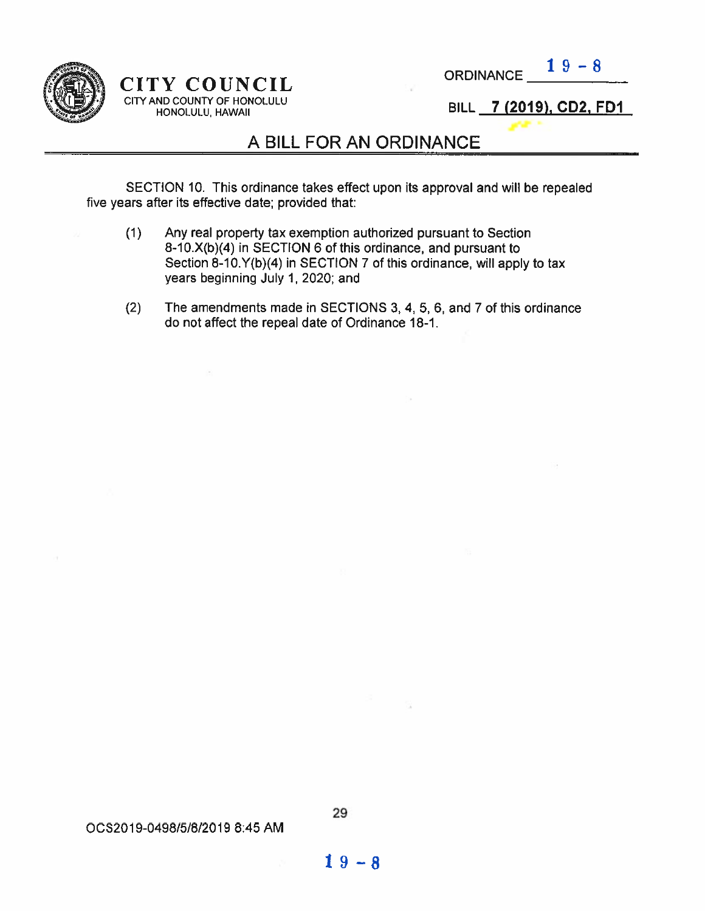

#### CITY COUNCIL CITY AND COUNTY OF HONOLULL' HONOLULU! HAWAII

ORDINANCE  $19-8$ 

BILL 7 (2019), CD2, FD1

## A BILL FOR AN ORDINANCE

SECTION 10. This ordinance takes effect upon its approval and will be repealed five years after its effective date; provided that:

- (1) Any real property tax exemption authorized pursuan<sup>t</sup> to Section 8-10.X(b)(4) in SECTION 6 of this ordinance, and pursuan<sup>t</sup> to Section  $8-10$ .  $Y(b)(4)$  in SECTION 7 of this ordinance, will apply to tax years beginning July 1, 2020; and
- (2) The amendments made in SECTIONS 3, 4, 5, 6, and 7 of this ordinance do not affect the repeal date of Ordinance 18-1.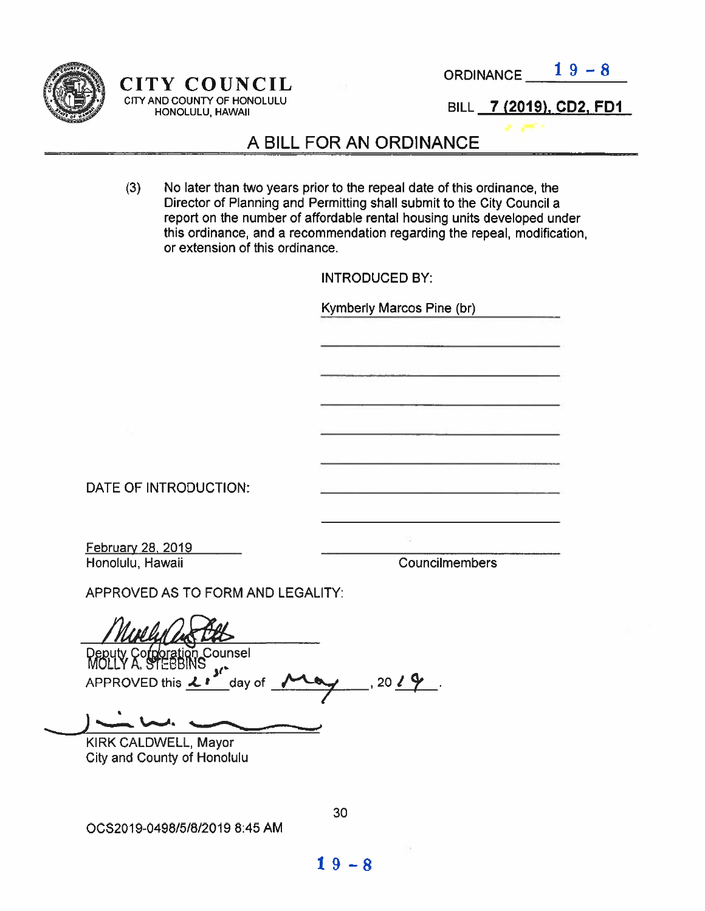

ORDINANCE  $19-8$ 

CITY COUNCIL CITY AND COUNTY OF HONOLULU HONOLULU, HAWAII

BILL 7 (2019), CD2, FD1

## A BILL FOR AN ORDINANCE

(3) No later than two years prior to the repeal date of this ordinance, the Director of Planning and Permitting shall submit to the City Council <sup>a</sup> repor<sup>t</sup> on the number of affordable rental housing units developed under this ordinance, and <sup>a</sup> recommendation regarding the repeal, modification, or extension of this ordinance.

|                                   | <b>INTRODUCED BY:</b>     |
|-----------------------------------|---------------------------|
|                                   | Kymberly Marcos Pine (br) |
|                                   |                           |
|                                   |                           |
|                                   |                           |
|                                   |                           |
|                                   |                           |
|                                   |                           |
| DATE OF INTRODUCTION:             |                           |
|                                   |                           |
| February 28, 2019                 |                           |
| Honolulu, Hawaii                  | Councilmembers            |
| APPROVED AS TO FORM AND LEGALITY: |                           |
| $M_{red} \cap \mathbb{R}$         |                           |

n Counsel APPROVED this Li day of

 $1, 20$   $(9)$ . 7

KIRK CALDWELL, Mayor City and County of Honolulu

%e\_\_d.

OC52019-0498151812019 8:45 AM

30

 $19 - 8$